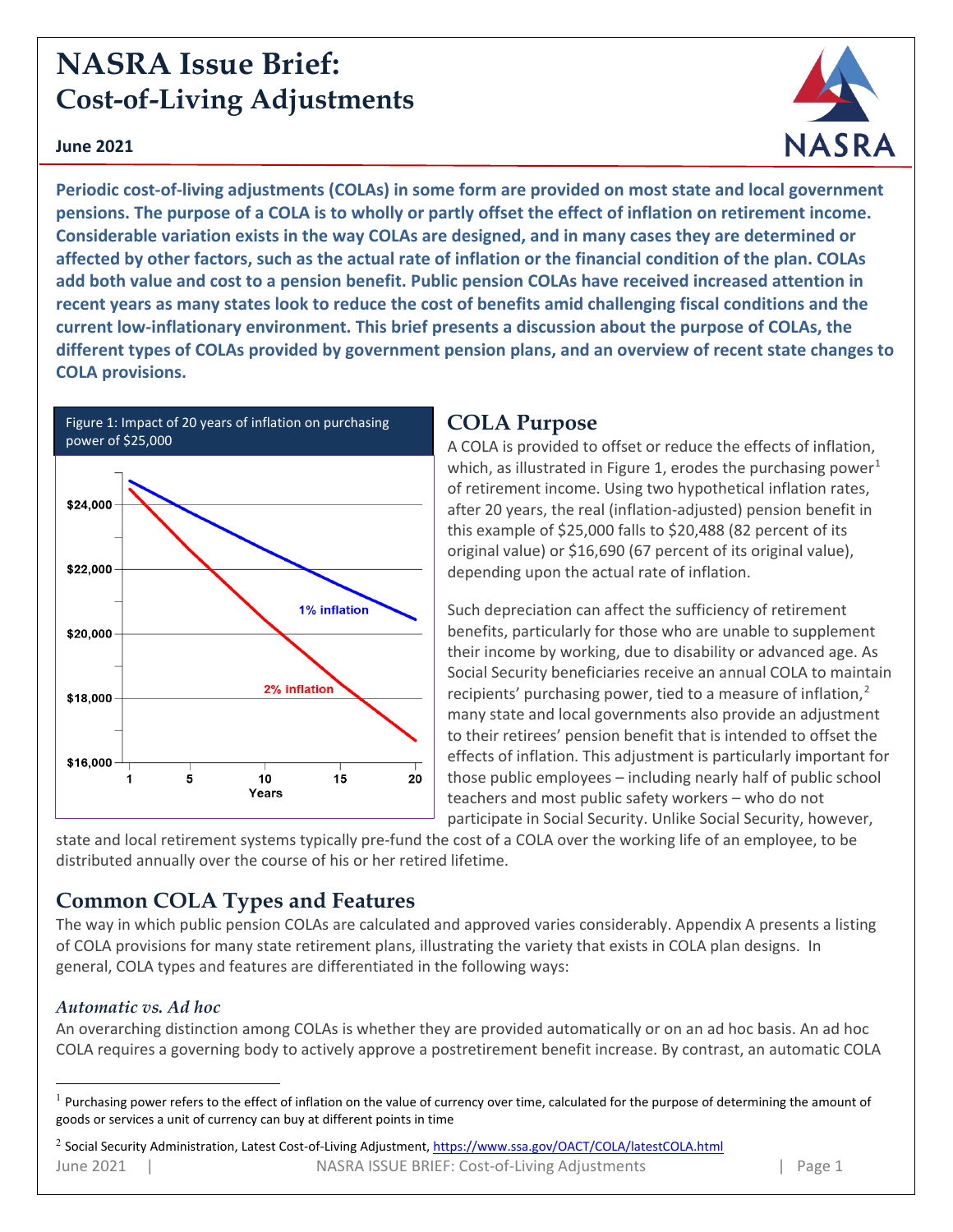# **NASRA Issue Brief: Cost-of-Living Adjustments**

#### **June 2021**



**Periodic cost-of-living adjustments (COLAs) in some form are provided on most state and local government pensions. The purpose of a COLA is to wholly or partly offset the effect of inflation on retirement income. Considerable variation exists in the way COLAs are designed, and in many cases they are determined or affected by other factors, such as the actual rate of inflation or the financial condition of the plan. COLAs add both value and cost to a pension benefit. Public pension COLAs have received increased attention in recent years as many states look to reduce the cost of benefits amid challenging fiscal conditions and the current low-inflationary environment. This brief presents a discussion about the purpose of COLAs, the different types of COLAs provided by government pension plans, and an overview of recent state changes to COLA provisions.** 



### **COLA Purpose**

A COLA is provided to offset or reduce the effects of inflation, which, as illustrated in Figure [1](#page-0-0), erodes the purchasing power<sup>1</sup> of retirement income. Using two hypothetical inflation rates, after 20 years, the real (inflation-adjusted) pension benefit in this example of \$25,000 falls to \$20,488 (82 percent of its original value) or \$16,690 (67 percent of its original value), depending upon the actual rate of inflation.

Such depreciation can affect the sufficiency of retirement benefits, particularly for those who are unable to supplement their income by working, due to disability or advanced age. As Social Security beneficiaries receive an annual COLA to maintain recipients' purchasing power, tied to a measure of inflation,<sup>[2](#page-0-1)</sup> many state and local governments also provide an adjustment to their retirees' pension benefit that is intended to offset the effects of inflation. This adjustment is particularly important for those public employees – including nearly half of public school teachers and most public safety workers – who do not participate in Social Security. Unlike Social Security, however,

state and local retirement systems typically pre-fund the cost of a COLA over the working life of an employee, to be distributed annually over the course of his or her retired lifetime.

### **Common COLA Types and Features**

The way in which public pension COLAs are calculated and approved varies considerably. Appendix A presents a listing of COLA provisions for many state retirement plans, illustrating the variety that exists in COLA plan designs. In general, COLA types and features are differentiated in the following ways:

### *Automatic vs. Ad hoc*

An overarching distinction among COLAs is whether they are provided automatically or on an ad hoc basis. An ad hoc COLA requires a governing body to actively approve a postretirement benefit increase. By contrast, an automatic COLA

<span id="page-0-1"></span><span id="page-0-0"></span> $<sup>1</sup>$  Purchasing power refers to the effect of inflation on the value of currency over time, calculated for the purpose of determining the amount of</sup> goods or services a unit of currency can buy at different points in time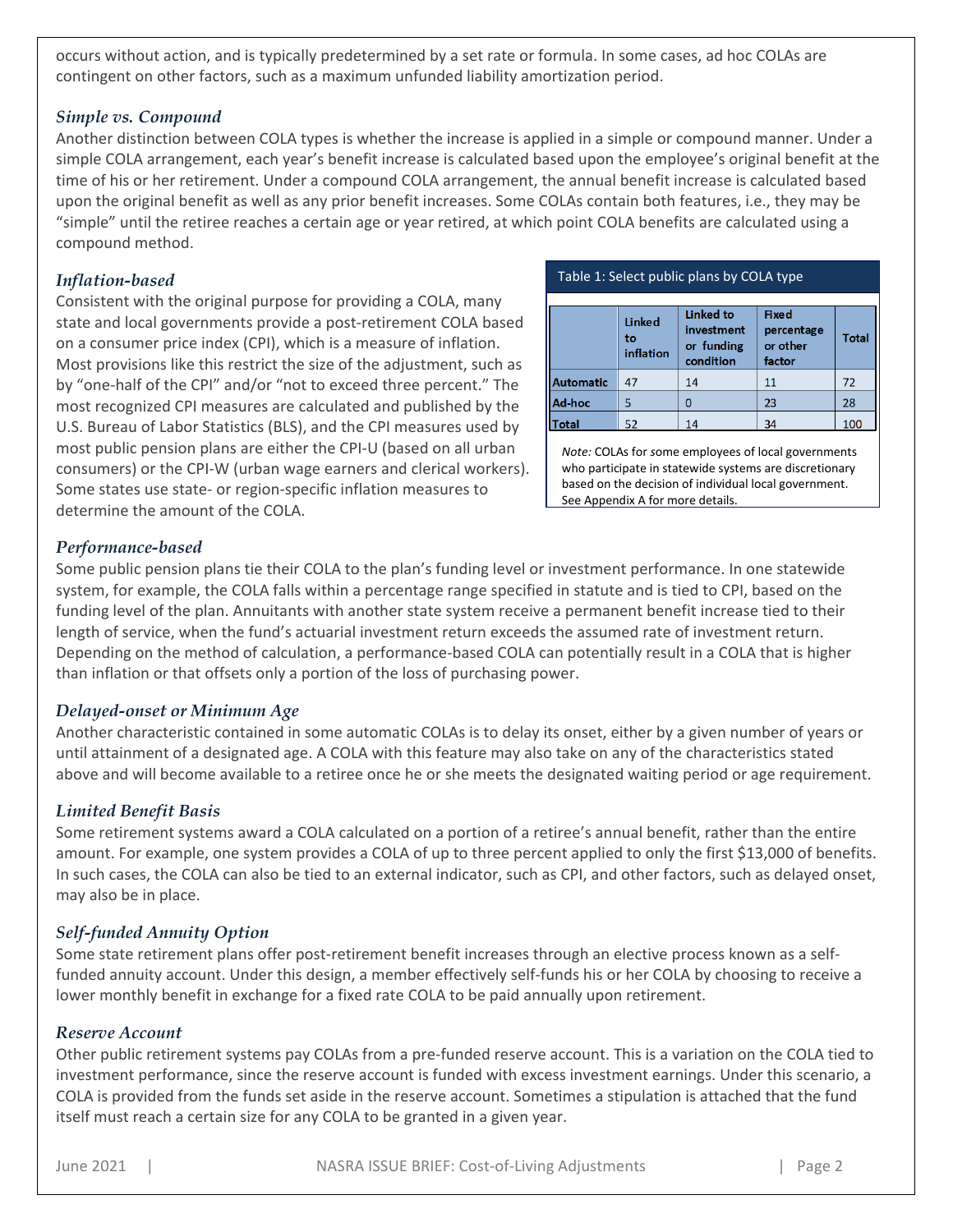occurs without action, and is typically predetermined by a set rate or formula. In some cases, ad hoc COLAs are contingent on other factors, such as a maximum unfunded liability amortization period.

#### *Simple vs. Compound*

Another distinction between COLA types is whether the increase is applied in a simple or compound manner. Under a simple COLA arrangement, each year's benefit increase is calculated based upon the employee's original benefit at the time of his or her retirement. Under a compound COLA arrangement, the annual benefit increase is calculated based upon the original benefit as well as any prior benefit increases. Some COLAs contain both features, i.e., they may be "simple" until the retiree reaches a certain age or year retired, at which point COLA benefits are calculated using a compound method.

#### *Inflation-based*

Consistent with the original purpose for providing a COLA, many state and local governments provide a post-retirement COLA based on a consumer price index (CPI), which is a measure of inflation. Most provisions like this restrict the size of the adjustment, such as by "one-half of the CPI" and/or "not to exceed three percent." The most recognized CPI measures are calculated and published by the U.S. Bureau of Labor Statistics (BLS), and the CPI measures used by most public pension plans are either the CPI-U (based on all urban consumers) or the CPI-W (urban wage earners and clerical workers). Some states use state- or region-specific inflation measures to determine the amount of the COLA.

|  | Table 1: Select public plans by COLA type |
|--|-------------------------------------------|
|--|-------------------------------------------|

|                  | <b>Linked</b><br>to<br>inflation | <b>Linked to</b><br>investment<br>or funding<br>condition | <b>Fixed</b><br>percentage<br>or other<br>factor | <b>Total</b> |
|------------------|----------------------------------|-----------------------------------------------------------|--------------------------------------------------|--------------|
| <b>Automatic</b> | 47                               | 14                                                        | 11                                               | 72           |
| Ad-hoc           |                                  | 0                                                         | 23                                               | 28           |
| otal             |                                  |                                                           | 34                                               | 100          |

*Note:* COLAs for *s*ome employees of local governments who participate in statewide systems are discretionary based on the decision of individual local government. See Appendix A for more details.

#### *Performance-based*

Some public pension plans tie their COLA to the plan's funding level or investment performance. In one statewide system, for example, the COLA falls within a percentage range specified in statute and is tied to CPI, based on the funding level of the plan. Annuitants with another state system receive a permanent benefit increase tied to their length of service, when the fund's actuarial investment return exceeds the assumed rate of investment return. Depending on the method of calculation, a performance-based COLA can potentially result in a COLA that is higher than inflation or that offsets only a portion of the loss of purchasing power.

#### *Delayed-onset or Minimum Age*

Another characteristic contained in some automatic COLAs is to delay its onset, either by a given number of years or until attainment of a designated age. A COLA with this feature may also take on any of the characteristics stated above and will become available to a retiree once he or she meets the designated waiting period or age requirement.

#### *Limited Benefit Basis*

Some retirement systems award a COLA calculated on a portion of a retiree's annual benefit, rather than the entire amount. For example, one system provides a COLA of up to three percent applied to only the first \$13,000 of benefits. In such cases, the COLA can also be tied to an external indicator, such as CPI, and other factors, such as delayed onset, may also be in place.

#### *Self-funded Annuity Option*

Some state retirement plans offer post-retirement benefit increases through an elective process known as a selffunded annuity account. Under this design, a member effectively self-funds his or her COLA by choosing to receive a lower monthly benefit in exchange for a fixed rate COLA to be paid annually upon retirement.

#### *Reserve Account*

Other public retirement systems pay COLAs from a pre-funded reserve account. This is a variation on the COLA tied to investment performance, since the reserve account is funded with excess investment earnings. Under this scenario, a COLA is provided from the funds set aside in the reserve account. Sometimes a stipulation is attached that the fund itself must reach a certain size for any COLA to be granted in a given year.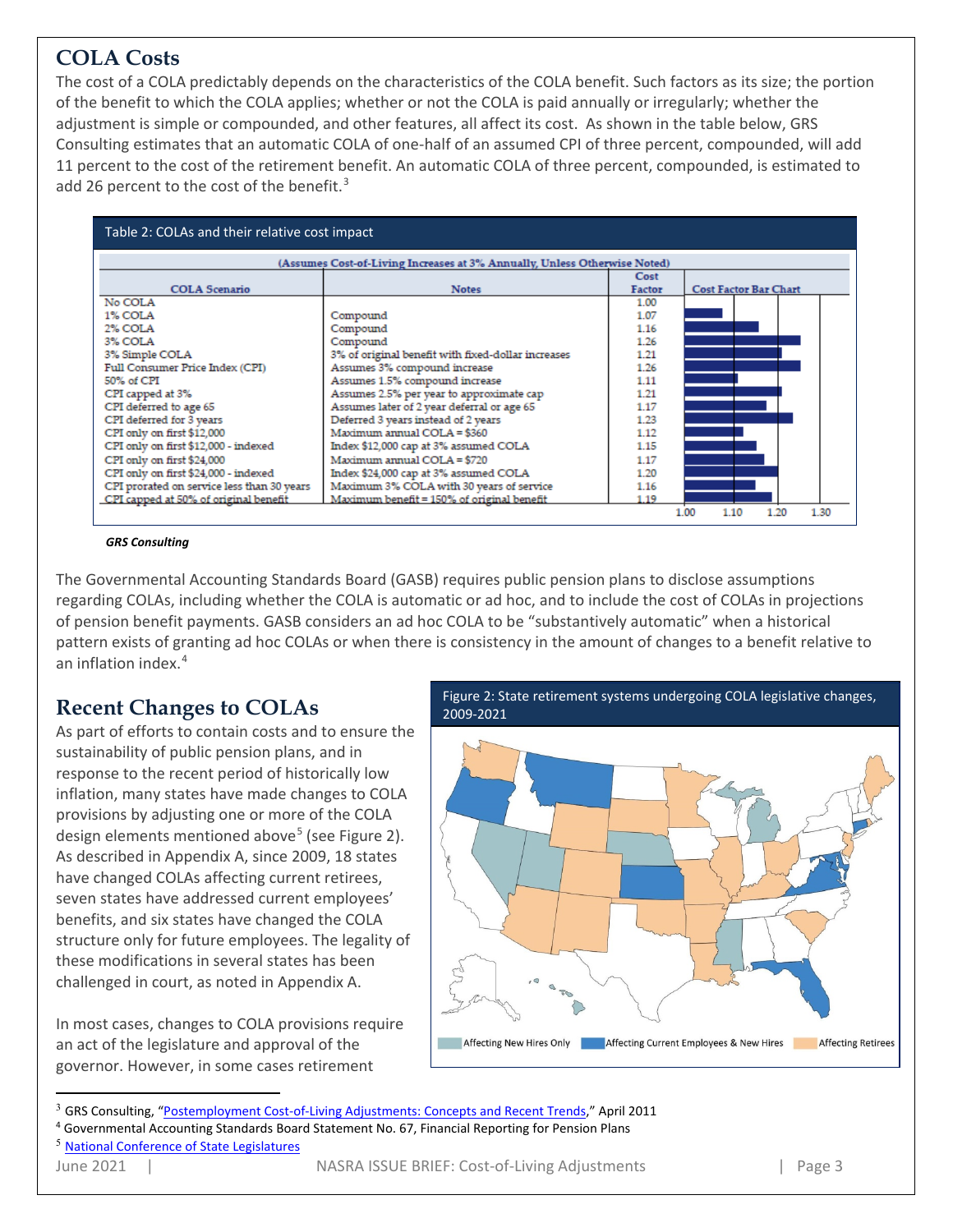## **COLA Costs**

The cost of a COLA predictably depends on the characteristics of the COLA benefit. Such factors as its size; the portion of the benefit to which the COLA applies; whether or not the COLA is paid annually or irregularly; whether the adjustment is simple or compounded, and other features, all affect its cost. As shown in the table below, GRS Consulting estimates that an automatic COLA of one-half of an assumed CPI of three percent, compounded, will add 11 percent to the cost of the retirement benefit. An automatic COLA of three percent, compounded, is estimated to add 26 percent to the cost of the benefit.<sup>[3](#page-2-0)</sup>



#### *GRS Consulting*

The Governmental Accounting Standards Board (GASB) requires public pension plans to disclose assumptions regarding COLAs, including whether the COLA is automatic or ad hoc, and to include the cost of COLAs in projections of pension benefit payments. GASB considers an ad hoc COLA to be "substantively automatic" when a historical pattern exists of granting ad hoc COLAs or when there is consistency in the amount of changes to a benefit relative to an inflation index.[4](#page-2-1)

### **Recent Changes to COLAs**

As part of efforts to contain costs and to ensure the sustainability of public pension plans, and in response to the recent period of historically low inflation, many states have made changes to COLA provisions by adjusting one or more of the COLA design elements mentioned above<sup>[5](#page-2-2)</sup> (see Figure 2). As described in Appendix A, since 2009, 18 states have changed COLAs affecting current retirees, seven states have addressed current employees' benefits, and six states have changed the COLA structure only for future employees. The legality of these modifications in several states has been challenged in court, as noted in Appendix A.

In most cases, changes to COLA provisions require an act of the legislature and approval of the governor. However, in some cases retirement



<span id="page-2-0"></span><sup>3</sup> GRS Consulting, ["Postemployment Cost-of-Living Adjustments: Concepts and Recent Trends,"](http://www.nasra.org/Files/Topical%20Reports/Cost-of-Living%20Adjustments/GRSCOLAbrief.pdf) April 2011

<span id="page-2-2"></span>

<span id="page-2-1"></span><sup>4</sup> Governmental Accounting Standards Board Statement No. 67, Financial Reporting for Pension Plans <sup>5</sup> [National Conference of State Legislatures](http://www.ncsl.org/research/fiscal-policy/pension-and-retirement-legislative-summaries-and-r.aspx)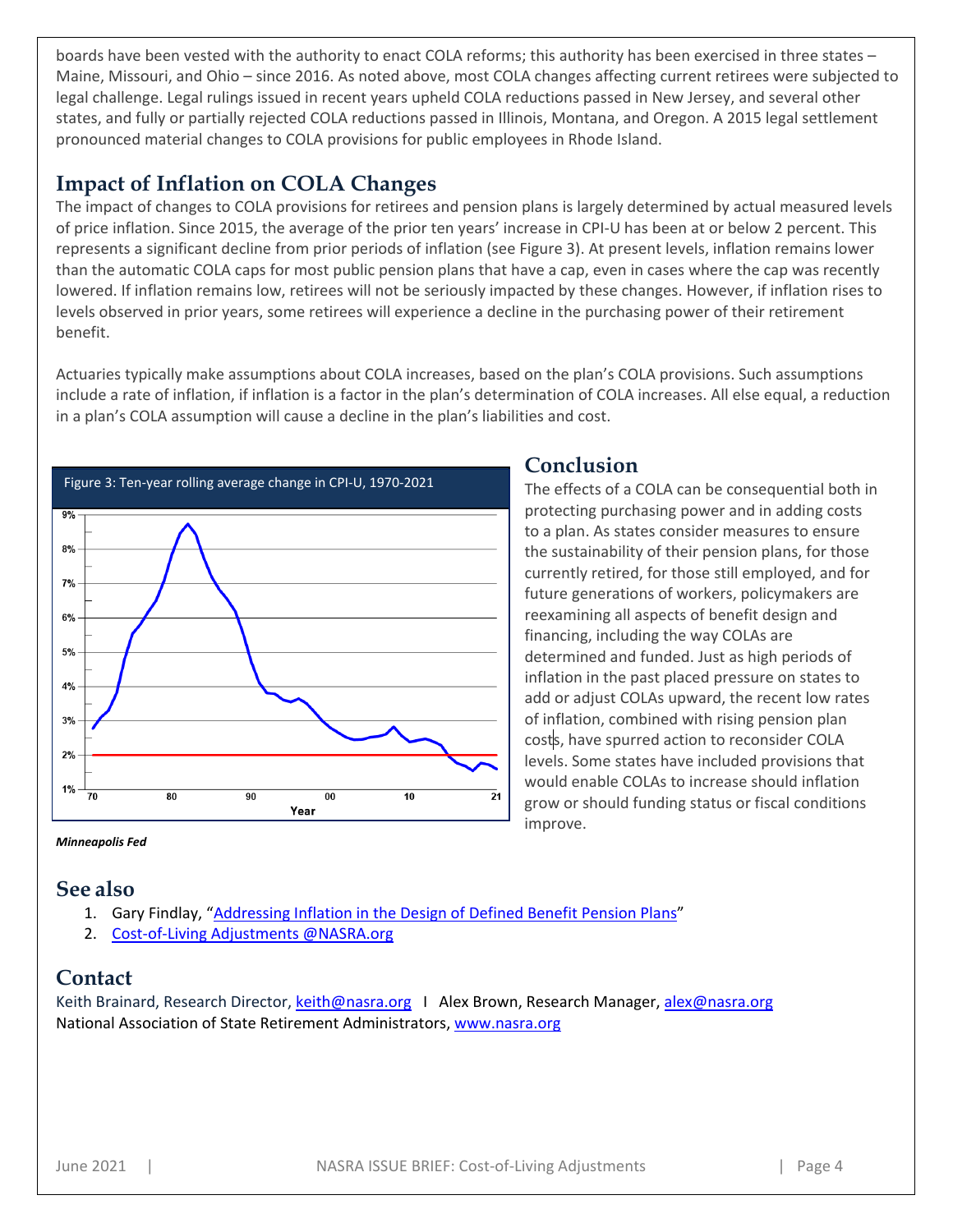boards have been vested with the authority to enact COLA reforms; this authority has been exercised in three states – Maine, Missouri, and Ohio – since 2016. As noted above, most COLA changes affecting current retirees were subjected to legal challenge. Legal rulings issued in recent years upheld COLA reductions passed in New Jersey, and several other states, and fully or partially rejected COLA reductions passed in Illinois, Montana, and Oregon. A 2015 legal settlement pronounced material changes to COLA provisions for public employees in Rhode Island.

### **Impact of Inflation on COLA Changes**

The impact of changes to COLA provisions for retirees and pension plans is largely determined by actual measured levels of price inflation. Since 2015, the average of the prior ten years' increase in CPI-U has been at or below 2 percent. This represents a significant decline from prior periods of inflation (see Figure 3). At present levels, inflation remains lower than the automatic COLA caps for most public pension plans that have a cap, even in cases where the cap was recently lowered. If inflation remains low, retirees will not be seriously impacted by these changes. However, if inflation rises to levels observed in prior years, some retirees will experience a decline in the purchasing power of their retirement benefit.

Actuaries typically make assumptions about COLA increases, based on the plan's COLA provisions. Such assumptions include a rate of inflation, if inflation is a factor in the plan's determination of COLA increases. All else equal, a reduction in a plan's COLA assumption will cause a decline in the plan's liabilities and cost.



### **Conclusion**

The effects of a COLA can be consequential both in protecting purchasing power and in adding costs to a plan. As states consider measures to ensure the sustainability of their pension plans, for those currently retired, for those still employed, and for future generations of workers, policymakers are reexamining all aspects of benefit design and financing, including the way COLAs are determined and funded. Just as high periods of inflation in the past placed pressure on states to add or adjust COLAs upward, the recent low rates of inflation, combined with rising pension plan costs, have spurred action to reconsider COLA levels. Some states have included provisions that would enable COLAs to increase should inflation grow or should funding status or fiscal conditions improve.

*Minneapolis Fed*

### **See also**

- 1. Gary Findlay, ["Addressing Inflation in the Design of Defined Benefit Pension Plans"](http://www.nasra.org/Files/Topical%20Reports/Cost-of-Living%20Adjustments/Addressing%20Inflation%20in%20the%20Design%20of%20Defined%20Benefit%20Pension%20Plans.pdf)
- 2. [Cost-of-Living Adjustments @NASRA.org](http://www.nasra.org/cola)

### **Contact**

Keith Brainard, Research Director, [keith@nasra.org](mailto:keith@nasra.org) | Alex Brown, Research Manager, [alex@nasra.org](mailto:alex@nasra.org) National Association of State Retirement Administrators, [www.nasra.org](http://www.nasra.org/)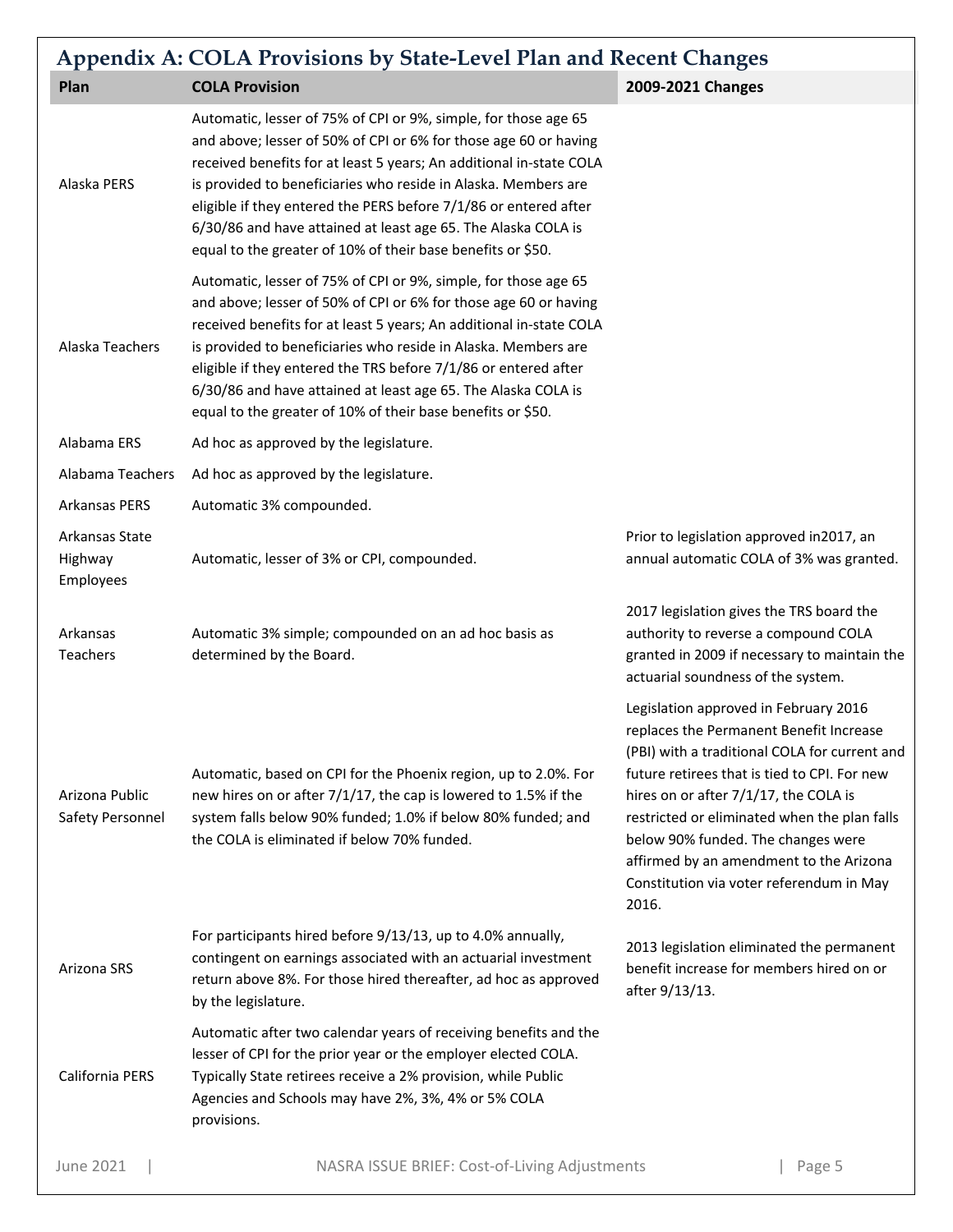| <b>Appendix A: COLA Provisions by State-Level Plan and Recent Changes</b> |                                                                                                                                                                                                                                                                                                                                                                                                                                                                                  |                                                                                                                                                                                                                                                                                                                                                                                                                  |
|---------------------------------------------------------------------------|----------------------------------------------------------------------------------------------------------------------------------------------------------------------------------------------------------------------------------------------------------------------------------------------------------------------------------------------------------------------------------------------------------------------------------------------------------------------------------|------------------------------------------------------------------------------------------------------------------------------------------------------------------------------------------------------------------------------------------------------------------------------------------------------------------------------------------------------------------------------------------------------------------|
| Plan                                                                      | <b>COLA Provision</b>                                                                                                                                                                                                                                                                                                                                                                                                                                                            | 2009-2021 Changes                                                                                                                                                                                                                                                                                                                                                                                                |
| Alaska PERS                                                               | Automatic, lesser of 75% of CPI or 9%, simple, for those age 65<br>and above; lesser of 50% of CPI or 6% for those age 60 or having<br>received benefits for at least 5 years; An additional in-state COLA<br>is provided to beneficiaries who reside in Alaska. Members are<br>eligible if they entered the PERS before 7/1/86 or entered after<br>6/30/86 and have attained at least age 65. The Alaska COLA is<br>equal to the greater of 10% of their base benefits or \$50. |                                                                                                                                                                                                                                                                                                                                                                                                                  |
| Alaska Teachers                                                           | Automatic, lesser of 75% of CPI or 9%, simple, for those age 65<br>and above; lesser of 50% of CPI or 6% for those age 60 or having<br>received benefits for at least 5 years; An additional in-state COLA<br>is provided to beneficiaries who reside in Alaska. Members are<br>eligible if they entered the TRS before 7/1/86 or entered after<br>6/30/86 and have attained at least age 65. The Alaska COLA is<br>equal to the greater of 10% of their base benefits or \$50.  |                                                                                                                                                                                                                                                                                                                                                                                                                  |
| Alabama ERS                                                               | Ad hoc as approved by the legislature.                                                                                                                                                                                                                                                                                                                                                                                                                                           |                                                                                                                                                                                                                                                                                                                                                                                                                  |
| Alabama Teachers                                                          | Ad hoc as approved by the legislature.                                                                                                                                                                                                                                                                                                                                                                                                                                           |                                                                                                                                                                                                                                                                                                                                                                                                                  |
| Arkansas PERS                                                             | Automatic 3% compounded.                                                                                                                                                                                                                                                                                                                                                                                                                                                         |                                                                                                                                                                                                                                                                                                                                                                                                                  |
| Arkansas State<br>Highway<br>Employees                                    | Automatic, lesser of 3% or CPI, compounded.                                                                                                                                                                                                                                                                                                                                                                                                                                      | Prior to legislation approved in2017, an<br>annual automatic COLA of 3% was granted.                                                                                                                                                                                                                                                                                                                             |
| Arkansas<br>Teachers                                                      | Automatic 3% simple; compounded on an ad hoc basis as<br>determined by the Board.                                                                                                                                                                                                                                                                                                                                                                                                | 2017 legislation gives the TRS board the<br>authority to reverse a compound COLA<br>granted in 2009 if necessary to maintain the<br>actuarial soundness of the system.                                                                                                                                                                                                                                           |
| Arizona Public<br>Safety Personnel                                        | Automatic, based on CPI for the Phoenix region, up to 2.0%. For<br>new hires on or after 7/1/17, the cap is lowered to 1.5% if the<br>system falls below 90% funded; 1.0% if below 80% funded; and<br>the COLA is eliminated if below 70% funded.                                                                                                                                                                                                                                | Legislation approved in February 2016<br>replaces the Permanent Benefit Increase<br>(PBI) with a traditional COLA for current and<br>future retirees that is tied to CPI. For new<br>hires on or after 7/1/17, the COLA is<br>restricted or eliminated when the plan falls<br>below 90% funded. The changes were<br>affirmed by an amendment to the Arizona<br>Constitution via voter referendum in May<br>2016. |
| Arizona SRS                                                               | For participants hired before 9/13/13, up to 4.0% annually,<br>contingent on earnings associated with an actuarial investment<br>return above 8%. For those hired thereafter, ad hoc as approved<br>by the legislature.                                                                                                                                                                                                                                                          | 2013 legislation eliminated the permanent<br>benefit increase for members hired on or<br>after 9/13/13.                                                                                                                                                                                                                                                                                                          |
| California PERS                                                           | Automatic after two calendar years of receiving benefits and the<br>lesser of CPI for the prior year or the employer elected COLA.<br>Typically State retirees receive a 2% provision, while Public<br>Agencies and Schools may have 2%, 3%, 4% or 5% COLA<br>provisions.                                                                                                                                                                                                        |                                                                                                                                                                                                                                                                                                                                                                                                                  |
| <b>June 2021</b>                                                          | NASRA ISSUE BRIEF: Cost-of-Living Adjustments                                                                                                                                                                                                                                                                                                                                                                                                                                    | Page 5                                                                                                                                                                                                                                                                                                                                                                                                           |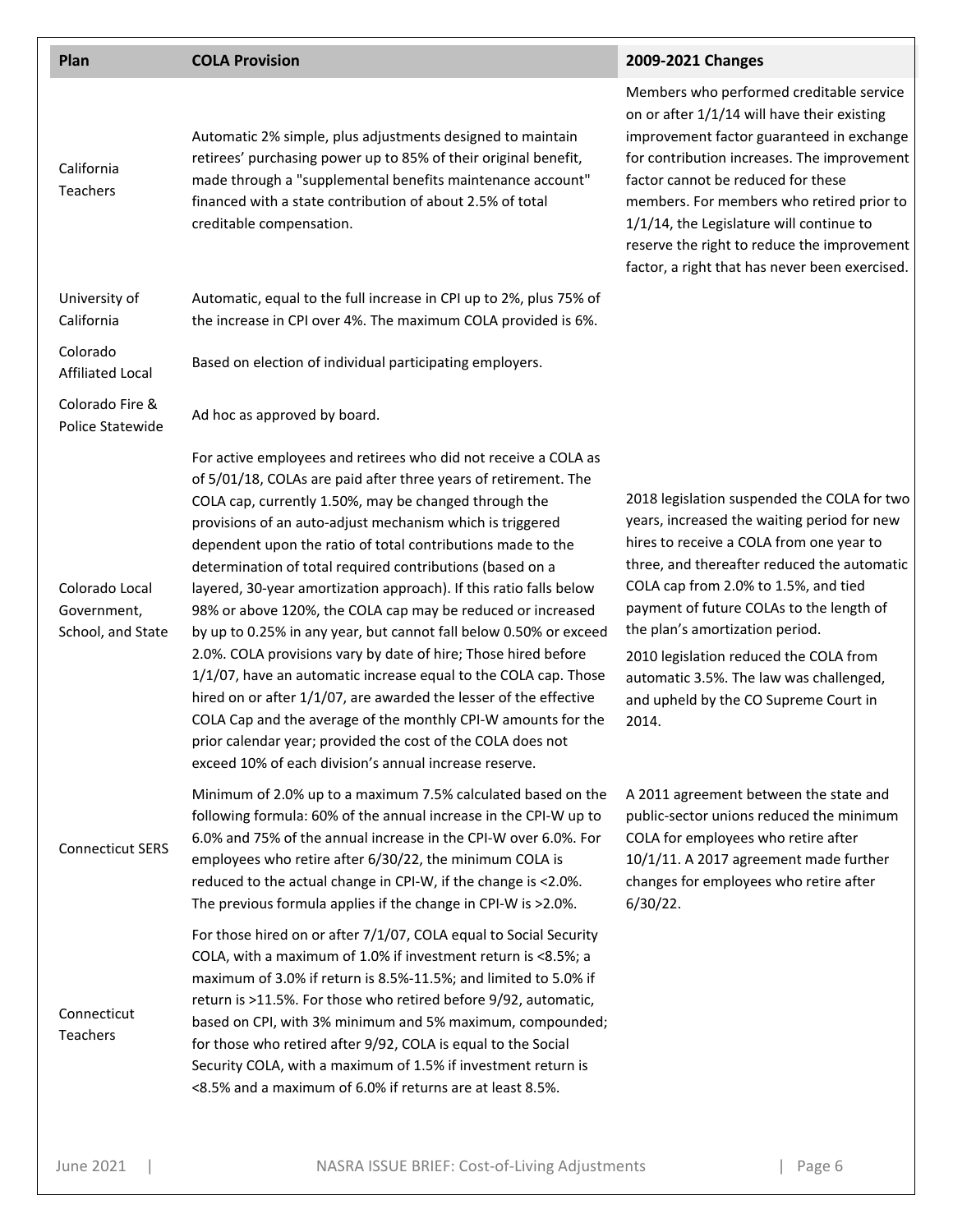| Plan                                               | <b>COLA Provision</b>                                                                                                                                                                                                                                                                                                                                                                                                                                                                                                                                                                                                                                                                                                                                                                                                                                                                                                                                                                              | 2009-2021 Changes                                                                                                                                                                                                                                                                                                                                                                                                                                   |
|----------------------------------------------------|----------------------------------------------------------------------------------------------------------------------------------------------------------------------------------------------------------------------------------------------------------------------------------------------------------------------------------------------------------------------------------------------------------------------------------------------------------------------------------------------------------------------------------------------------------------------------------------------------------------------------------------------------------------------------------------------------------------------------------------------------------------------------------------------------------------------------------------------------------------------------------------------------------------------------------------------------------------------------------------------------|-----------------------------------------------------------------------------------------------------------------------------------------------------------------------------------------------------------------------------------------------------------------------------------------------------------------------------------------------------------------------------------------------------------------------------------------------------|
| California<br><b>Teachers</b>                      | Automatic 2% simple, plus adjustments designed to maintain<br>retirees' purchasing power up to 85% of their original benefit,<br>made through a "supplemental benefits maintenance account"<br>financed with a state contribution of about 2.5% of total<br>creditable compensation.                                                                                                                                                                                                                                                                                                                                                                                                                                                                                                                                                                                                                                                                                                               | Members who performed creditable service<br>on or after 1/1/14 will have their existing<br>improvement factor guaranteed in exchange<br>for contribution increases. The improvement<br>factor cannot be reduced for these<br>members. For members who retired prior to<br>1/1/14, the Legislature will continue to<br>reserve the right to reduce the improvement<br>factor, a right that has never been exercised.                                 |
| University of<br>California                        | Automatic, equal to the full increase in CPI up to 2%, plus 75% of<br>the increase in CPI over 4%. The maximum COLA provided is 6%.                                                                                                                                                                                                                                                                                                                                                                                                                                                                                                                                                                                                                                                                                                                                                                                                                                                                |                                                                                                                                                                                                                                                                                                                                                                                                                                                     |
| Colorado<br><b>Affiliated Local</b>                | Based on election of individual participating employers.                                                                                                                                                                                                                                                                                                                                                                                                                                                                                                                                                                                                                                                                                                                                                                                                                                                                                                                                           |                                                                                                                                                                                                                                                                                                                                                                                                                                                     |
| Colorado Fire &<br>Police Statewide                | Ad hoc as approved by board.                                                                                                                                                                                                                                                                                                                                                                                                                                                                                                                                                                                                                                                                                                                                                                                                                                                                                                                                                                       |                                                                                                                                                                                                                                                                                                                                                                                                                                                     |
| Colorado Local<br>Government,<br>School, and State | For active employees and retirees who did not receive a COLA as<br>of 5/01/18, COLAs are paid after three years of retirement. The<br>COLA cap, currently 1.50%, may be changed through the<br>provisions of an auto-adjust mechanism which is triggered<br>dependent upon the ratio of total contributions made to the<br>determination of total required contributions (based on a<br>layered, 30-year amortization approach). If this ratio falls below<br>98% or above 120%, the COLA cap may be reduced or increased<br>by up to 0.25% in any year, but cannot fall below 0.50% or exceed<br>2.0%. COLA provisions vary by date of hire; Those hired before<br>1/1/07, have an automatic increase equal to the COLA cap. Those<br>hired on or after 1/1/07, are awarded the lesser of the effective<br>COLA Cap and the average of the monthly CPI-W amounts for the<br>prior calendar year; provided the cost of the COLA does not<br>exceed 10% of each division's annual increase reserve. | 2018 legislation suspended the COLA for two<br>years, increased the waiting period for new<br>hires to receive a COLA from one year to<br>three, and thereafter reduced the automatic<br>COLA cap from 2.0% to 1.5%, and tied<br>payment of future COLAs to the length of<br>the plan's amortization period.<br>2010 legislation reduced the COLA from<br>automatic 3.5%. The law was challenged,<br>and upheld by the CO Supreme Court in<br>2014. |
| <b>Connecticut SERS</b>                            | Minimum of 2.0% up to a maximum 7.5% calculated based on the<br>following formula: 60% of the annual increase in the CPI-W up to<br>6.0% and 75% of the annual increase in the CPI-W over 6.0%. For<br>employees who retire after 6/30/22, the minimum COLA is<br>reduced to the actual change in CPI-W, if the change is <2.0%.<br>The previous formula applies if the change in CPI-W is >2.0%.                                                                                                                                                                                                                                                                                                                                                                                                                                                                                                                                                                                                  | A 2011 agreement between the state and<br>public-sector unions reduced the minimum<br>COLA for employees who retire after<br>10/1/11. A 2017 agreement made further<br>changes for employees who retire after<br>$6/30/22$ .                                                                                                                                                                                                                        |
| Connecticut<br>Teachers                            | For those hired on or after 7/1/07, COLA equal to Social Security<br>COLA, with a maximum of 1.0% if investment return is <8.5%; a<br>maximum of 3.0% if return is 8.5%-11.5%; and limited to 5.0% if<br>return is >11.5%. For those who retired before 9/92, automatic,<br>based on CPI, with 3% minimum and 5% maximum, compounded;<br>for those who retired after 9/92, COLA is equal to the Social<br>Security COLA, with a maximum of 1.5% if investment return is<br><8.5% and a maximum of 6.0% if returns are at least 8.5%.                                                                                                                                                                                                                                                                                                                                                                                                                                                               |                                                                                                                                                                                                                                                                                                                                                                                                                                                     |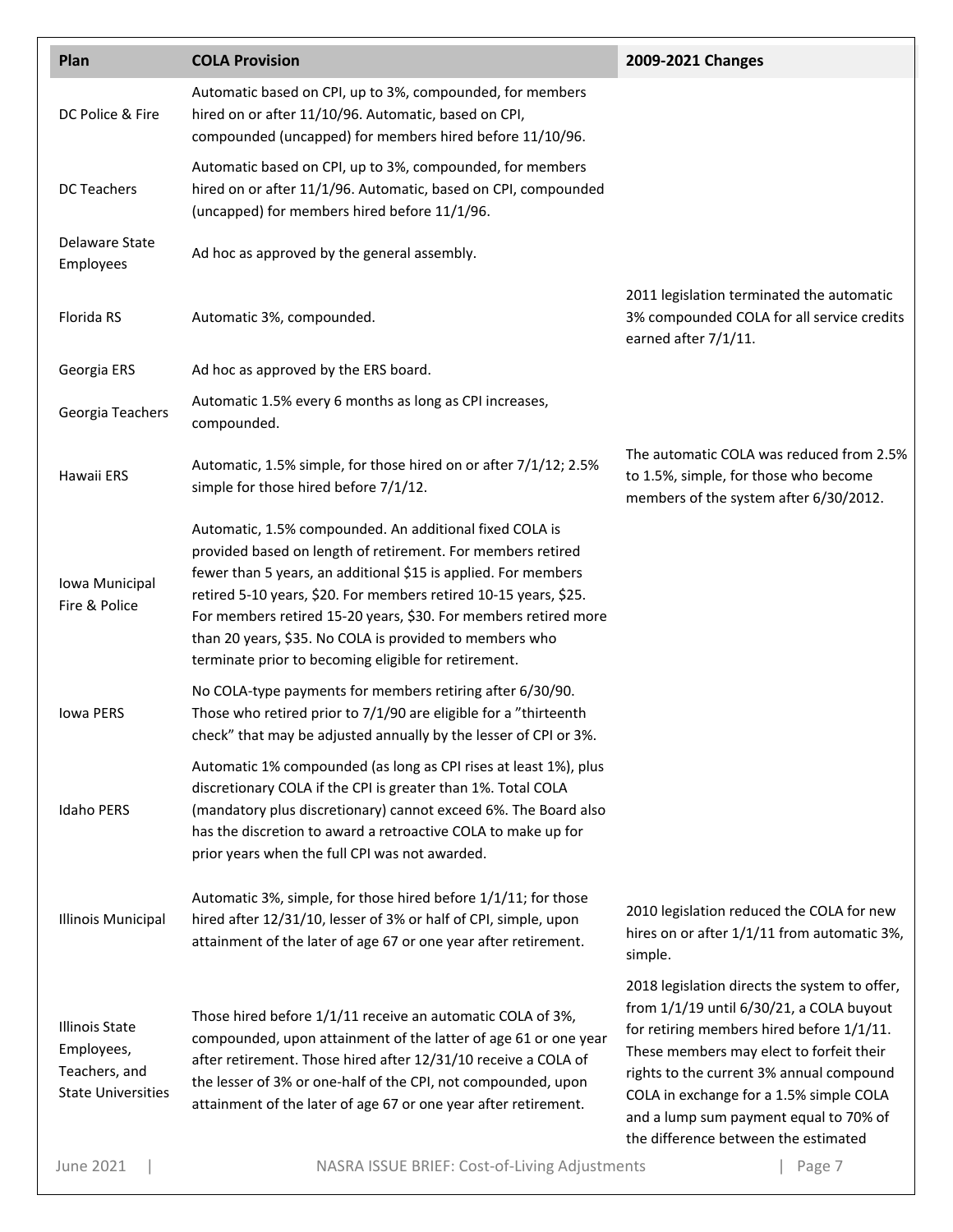| Plan                                                                              | <b>COLA Provision</b>                                                                                                                                                                                                                                                                                                                                                                                                                              | 2009-2021 Changes                                                                                                                                                                                                                                                                                                                                           |
|-----------------------------------------------------------------------------------|----------------------------------------------------------------------------------------------------------------------------------------------------------------------------------------------------------------------------------------------------------------------------------------------------------------------------------------------------------------------------------------------------------------------------------------------------|-------------------------------------------------------------------------------------------------------------------------------------------------------------------------------------------------------------------------------------------------------------------------------------------------------------------------------------------------------------|
| DC Police & Fire                                                                  | Automatic based on CPI, up to 3%, compounded, for members<br>hired on or after 11/10/96. Automatic, based on CPI,<br>compounded (uncapped) for members hired before 11/10/96.                                                                                                                                                                                                                                                                      |                                                                                                                                                                                                                                                                                                                                                             |
| <b>DC Teachers</b>                                                                | Automatic based on CPI, up to 3%, compounded, for members<br>hired on or after 11/1/96. Automatic, based on CPI, compounded<br>(uncapped) for members hired before 11/1/96.                                                                                                                                                                                                                                                                        |                                                                                                                                                                                                                                                                                                                                                             |
| Delaware State<br>Employees                                                       | Ad hoc as approved by the general assembly.                                                                                                                                                                                                                                                                                                                                                                                                        |                                                                                                                                                                                                                                                                                                                                                             |
| Florida RS                                                                        | Automatic 3%, compounded.                                                                                                                                                                                                                                                                                                                                                                                                                          | 2011 legislation terminated the automatic<br>3% compounded COLA for all service credits<br>earned after 7/1/11.                                                                                                                                                                                                                                             |
| Georgia ERS                                                                       | Ad hoc as approved by the ERS board.                                                                                                                                                                                                                                                                                                                                                                                                               |                                                                                                                                                                                                                                                                                                                                                             |
| Georgia Teachers                                                                  | Automatic 1.5% every 6 months as long as CPI increases,<br>compounded.                                                                                                                                                                                                                                                                                                                                                                             |                                                                                                                                                                                                                                                                                                                                                             |
| Hawaii ERS                                                                        | Automatic, 1.5% simple, for those hired on or after 7/1/12; 2.5%<br>simple for those hired before 7/1/12.                                                                                                                                                                                                                                                                                                                                          | The automatic COLA was reduced from 2.5%<br>to 1.5%, simple, for those who become<br>members of the system after 6/30/2012.                                                                                                                                                                                                                                 |
| Iowa Municipal<br>Fire & Police                                                   | Automatic, 1.5% compounded. An additional fixed COLA is<br>provided based on length of retirement. For members retired<br>fewer than 5 years, an additional \$15 is applied. For members<br>retired 5-10 years, \$20. For members retired 10-15 years, \$25.<br>For members retired 15-20 years, \$30. For members retired more<br>than 20 years, \$35. No COLA is provided to members who<br>terminate prior to becoming eligible for retirement. |                                                                                                                                                                                                                                                                                                                                                             |
| Iowa PERS                                                                         | No COLA-type payments for members retiring after 6/30/90.<br>Those who retired prior to 7/1/90 are eligible for a "thirteenth<br>check" that may be adjusted annually by the lesser of CPI or 3%.                                                                                                                                                                                                                                                  |                                                                                                                                                                                                                                                                                                                                                             |
| <b>Idaho PERS</b>                                                                 | Automatic 1% compounded (as long as CPI rises at least 1%), plus<br>discretionary COLA if the CPI is greater than 1%. Total COLA<br>(mandatory plus discretionary) cannot exceed 6%. The Board also<br>has the discretion to award a retroactive COLA to make up for<br>prior years when the full CPI was not awarded.                                                                                                                             |                                                                                                                                                                                                                                                                                                                                                             |
| Illinois Municipal                                                                | Automatic 3%, simple, for those hired before 1/1/11; for those<br>hired after 12/31/10, lesser of 3% or half of CPI, simple, upon<br>attainment of the later of age 67 or one year after retirement.                                                                                                                                                                                                                                               | 2010 legislation reduced the COLA for new<br>hires on or after 1/1/11 from automatic 3%,<br>simple.                                                                                                                                                                                                                                                         |
| <b>Illinois State</b><br>Employees,<br>Teachers, and<br><b>State Universities</b> | Those hired before 1/1/11 receive an automatic COLA of 3%,<br>compounded, upon attainment of the latter of age 61 or one year<br>after retirement. Those hired after 12/31/10 receive a COLA of<br>the lesser of 3% or one-half of the CPI, not compounded, upon<br>attainment of the later of age 67 or one year after retirement.                                                                                                                | 2018 legislation directs the system to offer,<br>from 1/1/19 until 6/30/21, a COLA buyout<br>for retiring members hired before 1/1/11.<br>These members may elect to forfeit their<br>rights to the current 3% annual compound<br>COLA in exchange for a 1.5% simple COLA<br>and a lump sum payment equal to 70% of<br>the difference between the estimated |
| <b>June 2021</b>                                                                  | NASRA ISSUE BRIEF: Cost-of-Living Adjustments                                                                                                                                                                                                                                                                                                                                                                                                      | Page 7                                                                                                                                                                                                                                                                                                                                                      |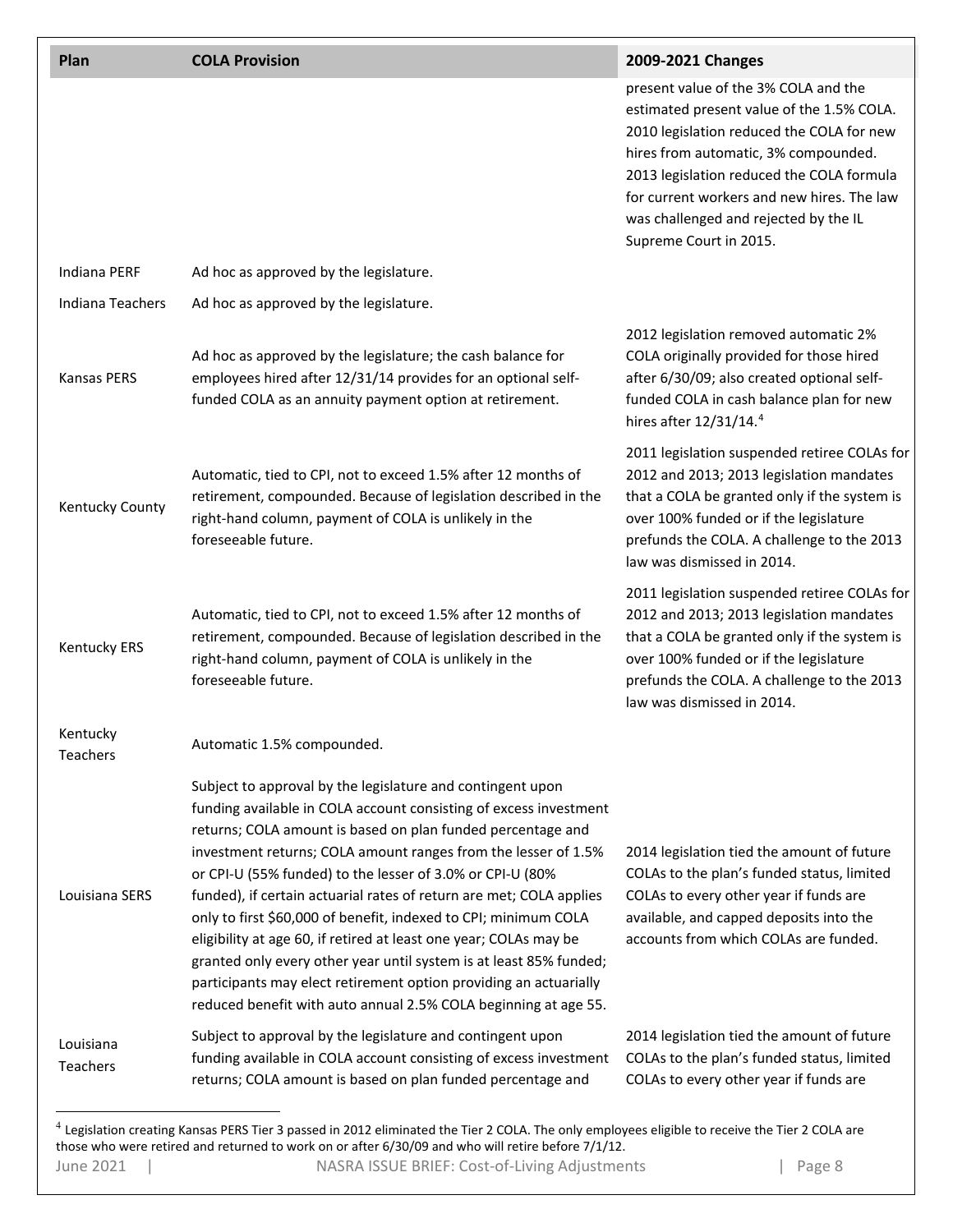| Plan                  | <b>COLA Provision</b>                                                                                                                                                                                                                                                                                                                                                                                                                                                                                                                                                                                                                                                                                                                                      | 2009-2021 Changes                                                                                                                                                                                                                                                                                                                    |
|-----------------------|------------------------------------------------------------------------------------------------------------------------------------------------------------------------------------------------------------------------------------------------------------------------------------------------------------------------------------------------------------------------------------------------------------------------------------------------------------------------------------------------------------------------------------------------------------------------------------------------------------------------------------------------------------------------------------------------------------------------------------------------------------|--------------------------------------------------------------------------------------------------------------------------------------------------------------------------------------------------------------------------------------------------------------------------------------------------------------------------------------|
|                       |                                                                                                                                                                                                                                                                                                                                                                                                                                                                                                                                                                                                                                                                                                                                                            | present value of the 3% COLA and the<br>estimated present value of the 1.5% COLA.<br>2010 legislation reduced the COLA for new<br>hires from automatic, 3% compounded.<br>2013 legislation reduced the COLA formula<br>for current workers and new hires. The law<br>was challenged and rejected by the IL<br>Supreme Court in 2015. |
| Indiana PERF          | Ad hoc as approved by the legislature.                                                                                                                                                                                                                                                                                                                                                                                                                                                                                                                                                                                                                                                                                                                     |                                                                                                                                                                                                                                                                                                                                      |
| Indiana Teachers      | Ad hoc as approved by the legislature.                                                                                                                                                                                                                                                                                                                                                                                                                                                                                                                                                                                                                                                                                                                     |                                                                                                                                                                                                                                                                                                                                      |
| <b>Kansas PERS</b>    | Ad hoc as approved by the legislature; the cash balance for<br>employees hired after 12/31/14 provides for an optional self-<br>funded COLA as an annuity payment option at retirement.                                                                                                                                                                                                                                                                                                                                                                                                                                                                                                                                                                    | 2012 legislation removed automatic 2%<br>COLA originally provided for those hired<br>after 6/30/09; also created optional self-<br>funded COLA in cash balance plan for new<br>hires after 12/31/14.4                                                                                                                                |
| Kentucky County       | Automatic, tied to CPI, not to exceed 1.5% after 12 months of<br>retirement, compounded. Because of legislation described in the<br>right-hand column, payment of COLA is unlikely in the<br>foreseeable future.                                                                                                                                                                                                                                                                                                                                                                                                                                                                                                                                           | 2011 legislation suspended retiree COLAs for<br>2012 and 2013; 2013 legislation mandates<br>that a COLA be granted only if the system is<br>over 100% funded or if the legislature<br>prefunds the COLA. A challenge to the 2013<br>law was dismissed in 2014.                                                                       |
| Kentucky ERS          | Automatic, tied to CPI, not to exceed 1.5% after 12 months of<br>retirement, compounded. Because of legislation described in the<br>right-hand column, payment of COLA is unlikely in the<br>foreseeable future.                                                                                                                                                                                                                                                                                                                                                                                                                                                                                                                                           | 2011 legislation suspended retiree COLAs for<br>2012 and 2013; 2013 legislation mandates<br>that a COLA be granted only if the system is<br>over 100% funded or if the legislature<br>prefunds the COLA. A challenge to the 2013<br>law was dismissed in 2014.                                                                       |
| Kentucky<br>Teachers  | Automatic 1.5% compounded.                                                                                                                                                                                                                                                                                                                                                                                                                                                                                                                                                                                                                                                                                                                                 |                                                                                                                                                                                                                                                                                                                                      |
| Louisiana SERS        | Subject to approval by the legislature and contingent upon<br>funding available in COLA account consisting of excess investment<br>returns; COLA amount is based on plan funded percentage and<br>investment returns; COLA amount ranges from the lesser of 1.5%<br>or CPI-U (55% funded) to the lesser of 3.0% or CPI-U (80%<br>funded), if certain actuarial rates of return are met; COLA applies<br>only to first \$60,000 of benefit, indexed to CPI; minimum COLA<br>eligibility at age 60, if retired at least one year; COLAs may be<br>granted only every other year until system is at least 85% funded;<br>participants may elect retirement option providing an actuarially<br>reduced benefit with auto annual 2.5% COLA beginning at age 55. | 2014 legislation tied the amount of future<br>COLAs to the plan's funded status, limited<br>COLAs to every other year if funds are<br>available, and capped deposits into the<br>accounts from which COLAs are funded.                                                                                                               |
| Louisiana<br>Teachers | Subject to approval by the legislature and contingent upon<br>funding available in COLA account consisting of excess investment<br>returns; COLA amount is based on plan funded percentage and                                                                                                                                                                                                                                                                                                                                                                                                                                                                                                                                                             | 2014 legislation tied the amount of future<br>COLAs to the plan's funded status, limited<br>COLAs to every other year if funds are                                                                                                                                                                                                   |

<span id="page-7-0"></span>June 2021 | NASRA ISSUE BRIEF: Cost-of-Living Adjustments | Page 8 <sup>4</sup> Legislation creating Kansas PERS Tier 3 passed in 2012 eliminated the Tier 2 COLA. The only employees eligible to receive the Tier 2 COLA are those who were retired and returned to work on or after 6/30/09 and who will retire before 7/1/12.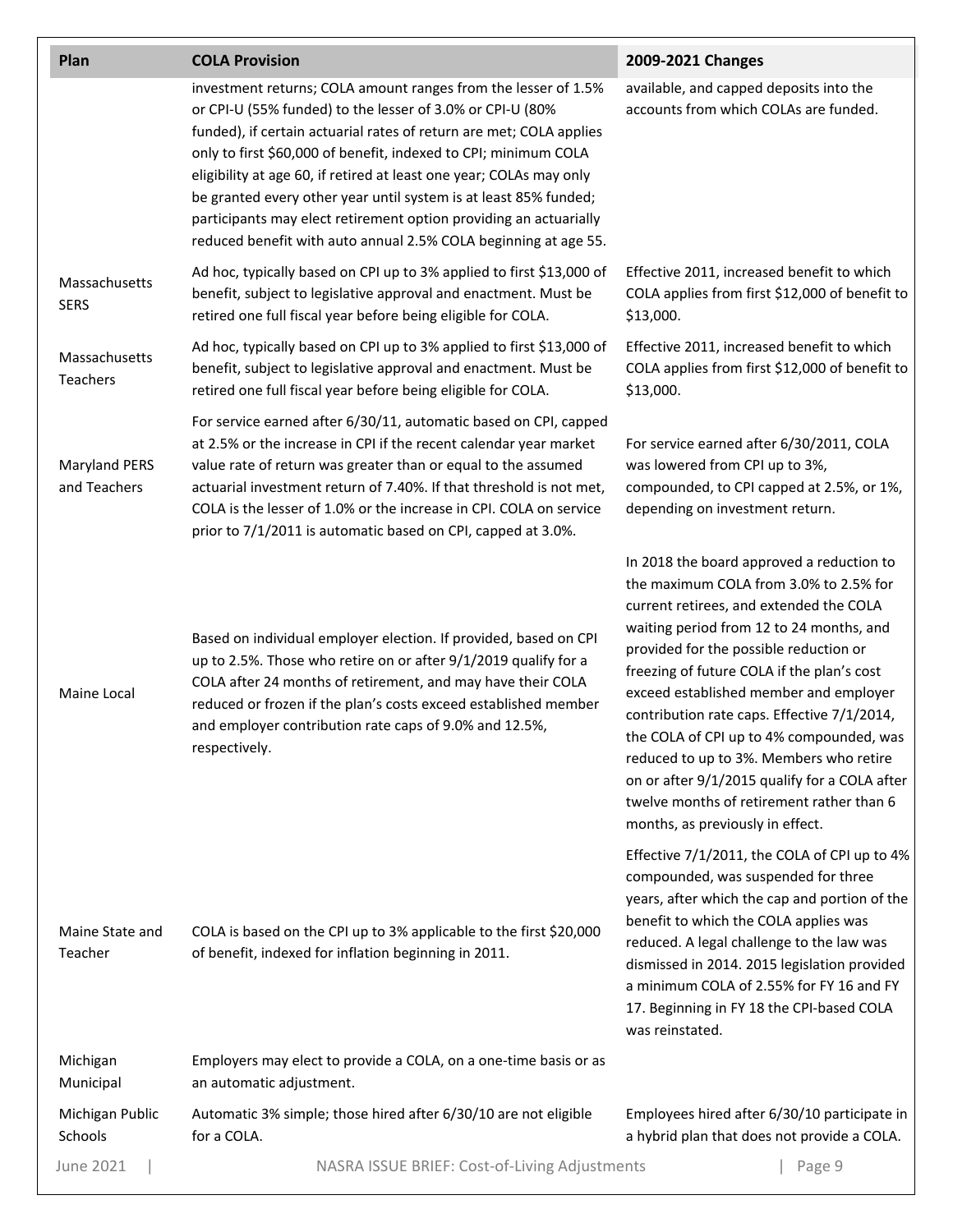| Plan                                 | <b>COLA Provision</b>                                                                                                                                                                                                                                                                                                                                                                                                                                                                                                                                    | 2009-2021 Changes                                                                                                                                                                                                                                                                                                                                                                                                                                                                                                                                                                    |
|--------------------------------------|----------------------------------------------------------------------------------------------------------------------------------------------------------------------------------------------------------------------------------------------------------------------------------------------------------------------------------------------------------------------------------------------------------------------------------------------------------------------------------------------------------------------------------------------------------|--------------------------------------------------------------------------------------------------------------------------------------------------------------------------------------------------------------------------------------------------------------------------------------------------------------------------------------------------------------------------------------------------------------------------------------------------------------------------------------------------------------------------------------------------------------------------------------|
|                                      | investment returns; COLA amount ranges from the lesser of 1.5%<br>or CPI-U (55% funded) to the lesser of 3.0% or CPI-U (80%<br>funded), if certain actuarial rates of return are met; COLA applies<br>only to first \$60,000 of benefit, indexed to CPI; minimum COLA<br>eligibility at age 60, if retired at least one year; COLAs may only<br>be granted every other year until system is at least 85% funded;<br>participants may elect retirement option providing an actuarially<br>reduced benefit with auto annual 2.5% COLA beginning at age 55. | available, and capped deposits into the<br>accounts from which COLAs are funded.                                                                                                                                                                                                                                                                                                                                                                                                                                                                                                     |
| Massachusetts<br><b>SERS</b>         | Ad hoc, typically based on CPI up to 3% applied to first \$13,000 of<br>benefit, subject to legislative approval and enactment. Must be<br>retired one full fiscal year before being eligible for COLA.                                                                                                                                                                                                                                                                                                                                                  | Effective 2011, increased benefit to which<br>COLA applies from first \$12,000 of benefit to<br>\$13,000.                                                                                                                                                                                                                                                                                                                                                                                                                                                                            |
| Massachusetts<br><b>Teachers</b>     | Ad hoc, typically based on CPI up to 3% applied to first \$13,000 of<br>benefit, subject to legislative approval and enactment. Must be<br>retired one full fiscal year before being eligible for COLA.                                                                                                                                                                                                                                                                                                                                                  | Effective 2011, increased benefit to which<br>COLA applies from first \$12,000 of benefit to<br>\$13,000.                                                                                                                                                                                                                                                                                                                                                                                                                                                                            |
| <b>Maryland PERS</b><br>and Teachers | For service earned after 6/30/11, automatic based on CPI, capped<br>at 2.5% or the increase in CPI if the recent calendar year market<br>value rate of return was greater than or equal to the assumed<br>actuarial investment return of 7.40%. If that threshold is not met,<br>COLA is the lesser of 1.0% or the increase in CPI. COLA on service<br>prior to 7/1/2011 is automatic based on CPI, capped at 3.0%.                                                                                                                                      | For service earned after 6/30/2011, COLA<br>was lowered from CPI up to 3%,<br>compounded, to CPI capped at 2.5%, or 1%,<br>depending on investment return.                                                                                                                                                                                                                                                                                                                                                                                                                           |
| Maine Local                          | Based on individual employer election. If provided, based on CPI<br>up to 2.5%. Those who retire on or after 9/1/2019 qualify for a<br>COLA after 24 months of retirement, and may have their COLA<br>reduced or frozen if the plan's costs exceed established member<br>and employer contribution rate caps of 9.0% and 12.5%,<br>respectively.                                                                                                                                                                                                         | In 2018 the board approved a reduction to<br>the maximum COLA from 3.0% to 2.5% for<br>current retirees, and extended the COLA<br>waiting period from 12 to 24 months, and<br>provided for the possible reduction or<br>freezing of future COLA if the plan's cost<br>exceed established member and employer<br>contribution rate caps. Effective 7/1/2014,<br>the COLA of CPI up to 4% compounded, was<br>reduced to up to 3%. Members who retire<br>on or after 9/1/2015 qualify for a COLA after<br>twelve months of retirement rather than 6<br>months, as previously in effect. |
| Maine State and<br>Teacher           | COLA is based on the CPI up to 3% applicable to the first \$20,000<br>of benefit, indexed for inflation beginning in 2011.                                                                                                                                                                                                                                                                                                                                                                                                                               | Effective 7/1/2011, the COLA of CPI up to 4%<br>compounded, was suspended for three<br>years, after which the cap and portion of the<br>benefit to which the COLA applies was<br>reduced. A legal challenge to the law was<br>dismissed in 2014. 2015 legislation provided<br>a minimum COLA of 2.55% for FY 16 and FY<br>17. Beginning in FY 18 the CPI-based COLA<br>was reinstated.                                                                                                                                                                                               |
| Michigan<br>Municipal                | Employers may elect to provide a COLA, on a one-time basis or as<br>an automatic adjustment.                                                                                                                                                                                                                                                                                                                                                                                                                                                             |                                                                                                                                                                                                                                                                                                                                                                                                                                                                                                                                                                                      |
| Michigan Public<br>Schools           | Automatic 3% simple; those hired after 6/30/10 are not eligible<br>for a COLA.                                                                                                                                                                                                                                                                                                                                                                                                                                                                           | Employees hired after 6/30/10 participate in<br>a hybrid plan that does not provide a COLA.                                                                                                                                                                                                                                                                                                                                                                                                                                                                                          |
| June 2021                            | NASRA ISSUE BRIEF: Cost-of-Living Adjustments                                                                                                                                                                                                                                                                                                                                                                                                                                                                                                            | Page 9                                                                                                                                                                                                                                                                                                                                                                                                                                                                                                                                                                               |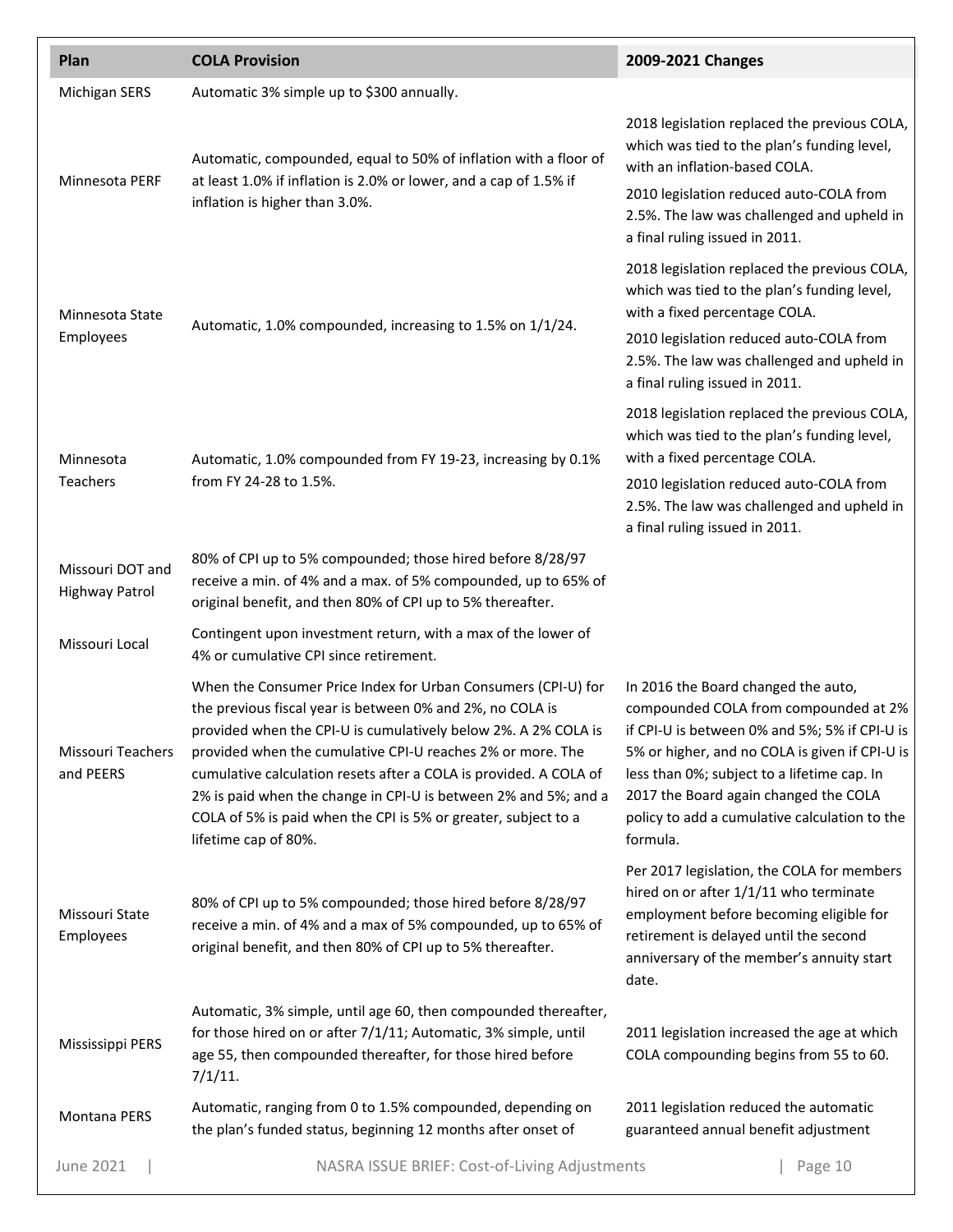| Plan                                      | <b>COLA Provision</b>                                                                                                                                                                                                                                                                                                                                                                                                                                                                        | 2009-2021 Changes                                                                                                                                                                                                                                                                                                                    |
|-------------------------------------------|----------------------------------------------------------------------------------------------------------------------------------------------------------------------------------------------------------------------------------------------------------------------------------------------------------------------------------------------------------------------------------------------------------------------------------------------------------------------------------------------|--------------------------------------------------------------------------------------------------------------------------------------------------------------------------------------------------------------------------------------------------------------------------------------------------------------------------------------|
| <b>Michigan SERS</b>                      | Automatic 3% simple up to \$300 annually.                                                                                                                                                                                                                                                                                                                                                                                                                                                    |                                                                                                                                                                                                                                                                                                                                      |
| Minnesota PERF                            | Automatic, compounded, equal to 50% of inflation with a floor of<br>at least 1.0% if inflation is 2.0% or lower, and a cap of 1.5% if<br>inflation is higher than 3.0%.                                                                                                                                                                                                                                                                                                                      | 2018 legislation replaced the previous COLA,<br>which was tied to the plan's funding level,<br>with an inflation-based COLA.<br>2010 legislation reduced auto-COLA from<br>2.5%. The law was challenged and upheld in<br>a final ruling issued in 2011.                                                                              |
| Minnesota State<br>Employees              | Automatic, 1.0% compounded, increasing to 1.5% on 1/1/24.                                                                                                                                                                                                                                                                                                                                                                                                                                    | 2018 legislation replaced the previous COLA,<br>which was tied to the plan's funding level,<br>with a fixed percentage COLA.<br>2010 legislation reduced auto-COLA from<br>2.5%. The law was challenged and upheld in<br>a final ruling issued in 2011.                                                                              |
| Minnesota<br>Teachers                     | Automatic, 1.0% compounded from FY 19-23, increasing by 0.1%<br>from FY 24-28 to 1.5%.                                                                                                                                                                                                                                                                                                                                                                                                       | 2018 legislation replaced the previous COLA,<br>which was tied to the plan's funding level,<br>with a fixed percentage COLA.<br>2010 legislation reduced auto-COLA from<br>2.5%. The law was challenged and upheld in<br>a final ruling issued in 2011.                                                                              |
| Missouri DOT and<br><b>Highway Patrol</b> | 80% of CPI up to 5% compounded; those hired before 8/28/97<br>receive a min. of 4% and a max. of 5% compounded, up to 65% of<br>original benefit, and then 80% of CPI up to 5% thereafter.                                                                                                                                                                                                                                                                                                   |                                                                                                                                                                                                                                                                                                                                      |
| Missouri Local                            | Contingent upon investment return, with a max of the lower of<br>4% or cumulative CPI since retirement.                                                                                                                                                                                                                                                                                                                                                                                      |                                                                                                                                                                                                                                                                                                                                      |
| Missouri Teachers<br>and PEERS            | When the Consumer Price Index for Urban Consumers (CPI-U) for<br>the previous fiscal year is between 0% and 2%, no COLA is<br>provided when the CPI-U is cumulatively below 2%. A 2% COLA is<br>provided when the cumulative CPI-U reaches 2% or more. The<br>cumulative calculation resets after a COLA is provided. A COLA of<br>2% is paid when the change in CPI-U is between 2% and 5%; and a<br>COLA of 5% is paid when the CPI is 5% or greater, subject to a<br>lifetime cap of 80%. | In 2016 the Board changed the auto,<br>compounded COLA from compounded at 2%<br>if CPI-U is between 0% and 5%; 5% if CPI-U is<br>5% or higher, and no COLA is given if CPI-U is<br>less than 0%; subject to a lifetime cap. In<br>2017 the Board again changed the COLA<br>policy to add a cumulative calculation to the<br>formula. |
| Missouri State<br>Employees               | 80% of CPI up to 5% compounded; those hired before 8/28/97<br>receive a min. of 4% and a max of 5% compounded, up to 65% of<br>original benefit, and then 80% of CPI up to 5% thereafter.                                                                                                                                                                                                                                                                                                    | Per 2017 legislation, the COLA for members<br>hired on or after 1/1/11 who terminate<br>employment before becoming eligible for<br>retirement is delayed until the second<br>anniversary of the member's annuity start<br>date.                                                                                                      |
| Mississippi PERS                          | Automatic, 3% simple, until age 60, then compounded thereafter,<br>for those hired on or after 7/1/11; Automatic, 3% simple, until<br>age 55, then compounded thereafter, for those hired before<br>$7/1/11$ .                                                                                                                                                                                                                                                                               | 2011 legislation increased the age at which<br>COLA compounding begins from 55 to 60.                                                                                                                                                                                                                                                |
| Montana PERS                              | Automatic, ranging from 0 to 1.5% compounded, depending on<br>the plan's funded status, beginning 12 months after onset of                                                                                                                                                                                                                                                                                                                                                                   | 2011 legislation reduced the automatic<br>guaranteed annual benefit adjustment                                                                                                                                                                                                                                                       |
| <b>June 2021</b>                          | NASRA ISSUE BRIEF: Cost-of-Living Adjustments                                                                                                                                                                                                                                                                                                                                                                                                                                                | Page 10                                                                                                                                                                                                                                                                                                                              |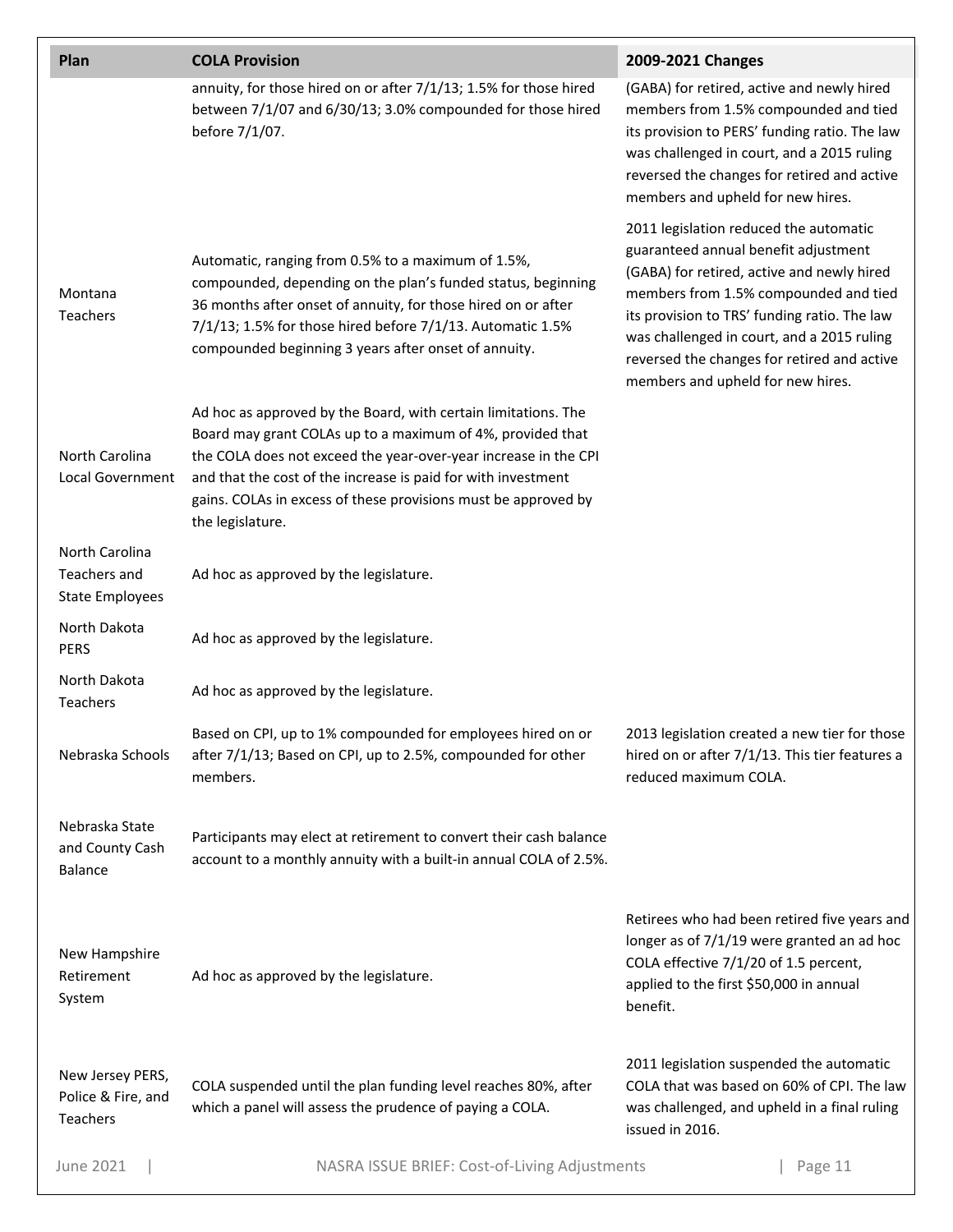| Plan                                                     | <b>COLA Provision</b>                                                                                                                                                                                                                                                                                                                                  | 2009-2021 Changes                                                                                                                                                                                                                                                                                                                                       |
|----------------------------------------------------------|--------------------------------------------------------------------------------------------------------------------------------------------------------------------------------------------------------------------------------------------------------------------------------------------------------------------------------------------------------|---------------------------------------------------------------------------------------------------------------------------------------------------------------------------------------------------------------------------------------------------------------------------------------------------------------------------------------------------------|
|                                                          | annuity, for those hired on or after 7/1/13; 1.5% for those hired<br>between 7/1/07 and 6/30/13; 3.0% compounded for those hired<br>before 7/1/07.                                                                                                                                                                                                     | (GABA) for retired, active and newly hired<br>members from 1.5% compounded and tied<br>its provision to PERS' funding ratio. The law<br>was challenged in court, and a 2015 ruling<br>reversed the changes for retired and active<br>members and upheld for new hires.                                                                                  |
| Montana<br>Teachers                                      | Automatic, ranging from 0.5% to a maximum of 1.5%,<br>compounded, depending on the plan's funded status, beginning<br>36 months after onset of annuity, for those hired on or after<br>7/1/13; 1.5% for those hired before 7/1/13. Automatic 1.5%<br>compounded beginning 3 years after onset of annuity.                                              | 2011 legislation reduced the automatic<br>guaranteed annual benefit adjustment<br>(GABA) for retired, active and newly hired<br>members from 1.5% compounded and tied<br>its provision to TRS' funding ratio. The law<br>was challenged in court, and a 2015 ruling<br>reversed the changes for retired and active<br>members and upheld for new hires. |
| North Carolina<br>Local Government                       | Ad hoc as approved by the Board, with certain limitations. The<br>Board may grant COLAs up to a maximum of 4%, provided that<br>the COLA does not exceed the year-over-year increase in the CPI<br>and that the cost of the increase is paid for with investment<br>gains. COLAs in excess of these provisions must be approved by<br>the legislature. |                                                                                                                                                                                                                                                                                                                                                         |
| North Carolina<br>Teachers and<br><b>State Employees</b> | Ad hoc as approved by the legislature.                                                                                                                                                                                                                                                                                                                 |                                                                                                                                                                                                                                                                                                                                                         |
| North Dakota<br><b>PERS</b>                              | Ad hoc as approved by the legislature.                                                                                                                                                                                                                                                                                                                 |                                                                                                                                                                                                                                                                                                                                                         |
| North Dakota<br><b>Teachers</b>                          | Ad hoc as approved by the legislature.                                                                                                                                                                                                                                                                                                                 |                                                                                                                                                                                                                                                                                                                                                         |
| Nebraska Schools                                         | Based on CPI, up to 1% compounded for employees hired on or<br>after 7/1/13; Based on CPI, up to 2.5%, compounded for other<br>members.                                                                                                                                                                                                                | 2013 legislation created a new tier for those<br>hired on or after 7/1/13. This tier features a<br>reduced maximum COLA.                                                                                                                                                                                                                                |
| Nebraska State<br>and County Cash<br><b>Balance</b>      | Participants may elect at retirement to convert their cash balance<br>account to a monthly annuity with a built-in annual COLA of 2.5%.                                                                                                                                                                                                                |                                                                                                                                                                                                                                                                                                                                                         |
| New Hampshire<br>Retirement<br>System                    | Ad hoc as approved by the legislature.                                                                                                                                                                                                                                                                                                                 | Retirees who had been retired five years and<br>longer as of 7/1/19 were granted an ad hoc<br>COLA effective 7/1/20 of 1.5 percent,<br>applied to the first \$50,000 in annual<br>benefit.                                                                                                                                                              |
| New Jersey PERS,<br>Police & Fire, and<br>Teachers       | COLA suspended until the plan funding level reaches 80%, after<br>which a panel will assess the prudence of paying a COLA.                                                                                                                                                                                                                             | 2011 legislation suspended the automatic<br>COLA that was based on 60% of CPI. The law<br>was challenged, and upheld in a final ruling<br>issued in 2016.                                                                                                                                                                                               |
| June 2021                                                | NASRA ISSUE BRIEF: Cost-of-Living Adjustments                                                                                                                                                                                                                                                                                                          | Page 11                                                                                                                                                                                                                                                                                                                                                 |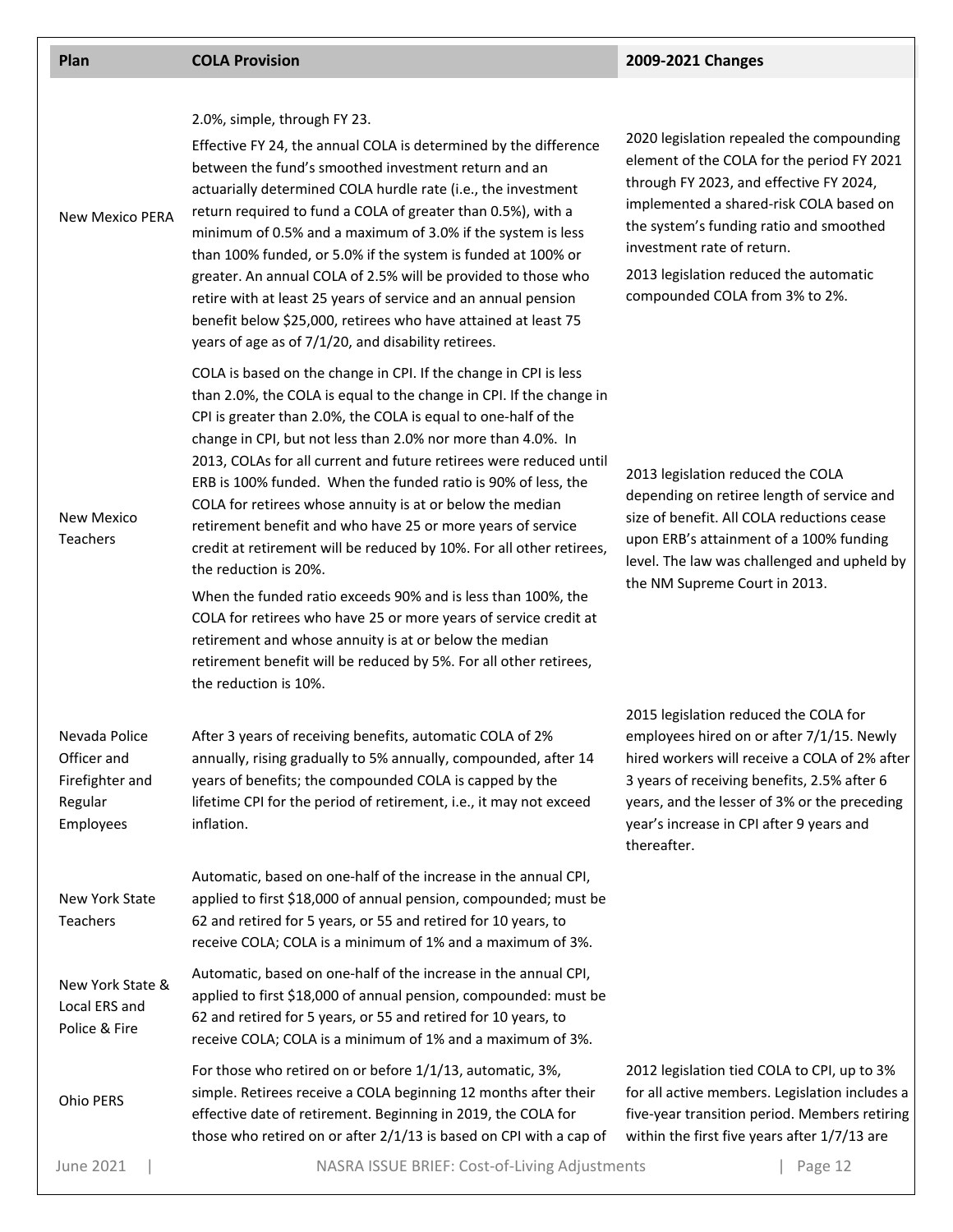| Plan                                                                    | <b>COLA Provision</b>                                                                                                                                                                                                                                                                                                                                                                                                                                                                                                                                                                                                                                                                                                                                                                                                                                                                                                                     | 2009-2021 Changes                                                                                                                                                                                                                                                                                                                  |
|-------------------------------------------------------------------------|-------------------------------------------------------------------------------------------------------------------------------------------------------------------------------------------------------------------------------------------------------------------------------------------------------------------------------------------------------------------------------------------------------------------------------------------------------------------------------------------------------------------------------------------------------------------------------------------------------------------------------------------------------------------------------------------------------------------------------------------------------------------------------------------------------------------------------------------------------------------------------------------------------------------------------------------|------------------------------------------------------------------------------------------------------------------------------------------------------------------------------------------------------------------------------------------------------------------------------------------------------------------------------------|
| <b>New Mexico PERA</b>                                                  | 2.0%, simple, through FY 23.<br>Effective FY 24, the annual COLA is determined by the difference<br>between the fund's smoothed investment return and an<br>actuarially determined COLA hurdle rate (i.e., the investment<br>return required to fund a COLA of greater than 0.5%), with a<br>minimum of 0.5% and a maximum of 3.0% if the system is less<br>than 100% funded, or 5.0% if the system is funded at 100% or<br>greater. An annual COLA of 2.5% will be provided to those who<br>retire with at least 25 years of service and an annual pension<br>benefit below \$25,000, retirees who have attained at least 75<br>years of age as of 7/1/20, and disability retirees.                                                                                                                                                                                                                                                      | 2020 legislation repealed the compounding<br>element of the COLA for the period FY 2021<br>through FY 2023, and effective FY 2024,<br>implemented a shared-risk COLA based on<br>the system's funding ratio and smoothed<br>investment rate of return.<br>2013 legislation reduced the automatic<br>compounded COLA from 3% to 2%. |
| <b>New Mexico</b><br>Teachers                                           | COLA is based on the change in CPI. If the change in CPI is less<br>than 2.0%, the COLA is equal to the change in CPI. If the change in<br>CPI is greater than 2.0%, the COLA is equal to one-half of the<br>change in CPI, but not less than 2.0% nor more than 4.0%. In<br>2013, COLAs for all current and future retirees were reduced until<br>ERB is 100% funded. When the funded ratio is 90% of less, the<br>COLA for retirees whose annuity is at or below the median<br>retirement benefit and who have 25 or more years of service<br>credit at retirement will be reduced by 10%. For all other retirees,<br>the reduction is 20%.<br>When the funded ratio exceeds 90% and is less than 100%, the<br>COLA for retirees who have 25 or more years of service credit at<br>retirement and whose annuity is at or below the median<br>retirement benefit will be reduced by 5%. For all other retirees,<br>the reduction is 10%. | 2013 legislation reduced the COLA<br>depending on retiree length of service and<br>size of benefit. All COLA reductions cease<br>upon ERB's attainment of a 100% funding<br>level. The law was challenged and upheld by<br>the NM Supreme Court in 2013.                                                                           |
| Nevada Police<br>Officer and<br>Firefighter and<br>Regular<br>Employees | After 3 years of receiving benefits, automatic COLA of 2%<br>annually, rising gradually to 5% annually, compounded, after 14<br>years of benefits; the compounded COLA is capped by the<br>lifetime CPI for the period of retirement, i.e., it may not exceed<br>inflation.                                                                                                                                                                                                                                                                                                                                                                                                                                                                                                                                                                                                                                                               | 2015 legislation reduced the COLA for<br>employees hired on or after 7/1/15. Newly<br>hired workers will receive a COLA of 2% after<br>3 years of receiving benefits, 2.5% after 6<br>years, and the lesser of 3% or the preceding<br>year's increase in CPI after 9 years and<br>thereafter.                                      |
| New York State<br>Teachers                                              | Automatic, based on one-half of the increase in the annual CPI,<br>applied to first \$18,000 of annual pension, compounded; must be<br>62 and retired for 5 years, or 55 and retired for 10 years, to<br>receive COLA; COLA is a minimum of 1% and a maximum of 3%.                                                                                                                                                                                                                                                                                                                                                                                                                                                                                                                                                                                                                                                                       |                                                                                                                                                                                                                                                                                                                                    |
| New York State &<br>Local ERS and<br>Police & Fire                      | Automatic, based on one-half of the increase in the annual CPI,<br>applied to first \$18,000 of annual pension, compounded: must be<br>62 and retired for 5 years, or 55 and retired for 10 years, to<br>receive COLA; COLA is a minimum of 1% and a maximum of 3%.                                                                                                                                                                                                                                                                                                                                                                                                                                                                                                                                                                                                                                                                       |                                                                                                                                                                                                                                                                                                                                    |
| Ohio PERS                                                               | For those who retired on or before 1/1/13, automatic, 3%,<br>simple. Retirees receive a COLA beginning 12 months after their<br>effective date of retirement. Beginning in 2019, the COLA for<br>those who retired on or after 2/1/13 is based on CPI with a cap of                                                                                                                                                                                                                                                                                                                                                                                                                                                                                                                                                                                                                                                                       | 2012 legislation tied COLA to CPI, up to 3%<br>for all active members. Legislation includes a<br>five-year transition period. Members retiring<br>within the first five years after 1/7/13 are                                                                                                                                     |

June 2021 | NASRA ISSUE BRIEF: Cost-of-Living Adjustments | Page 12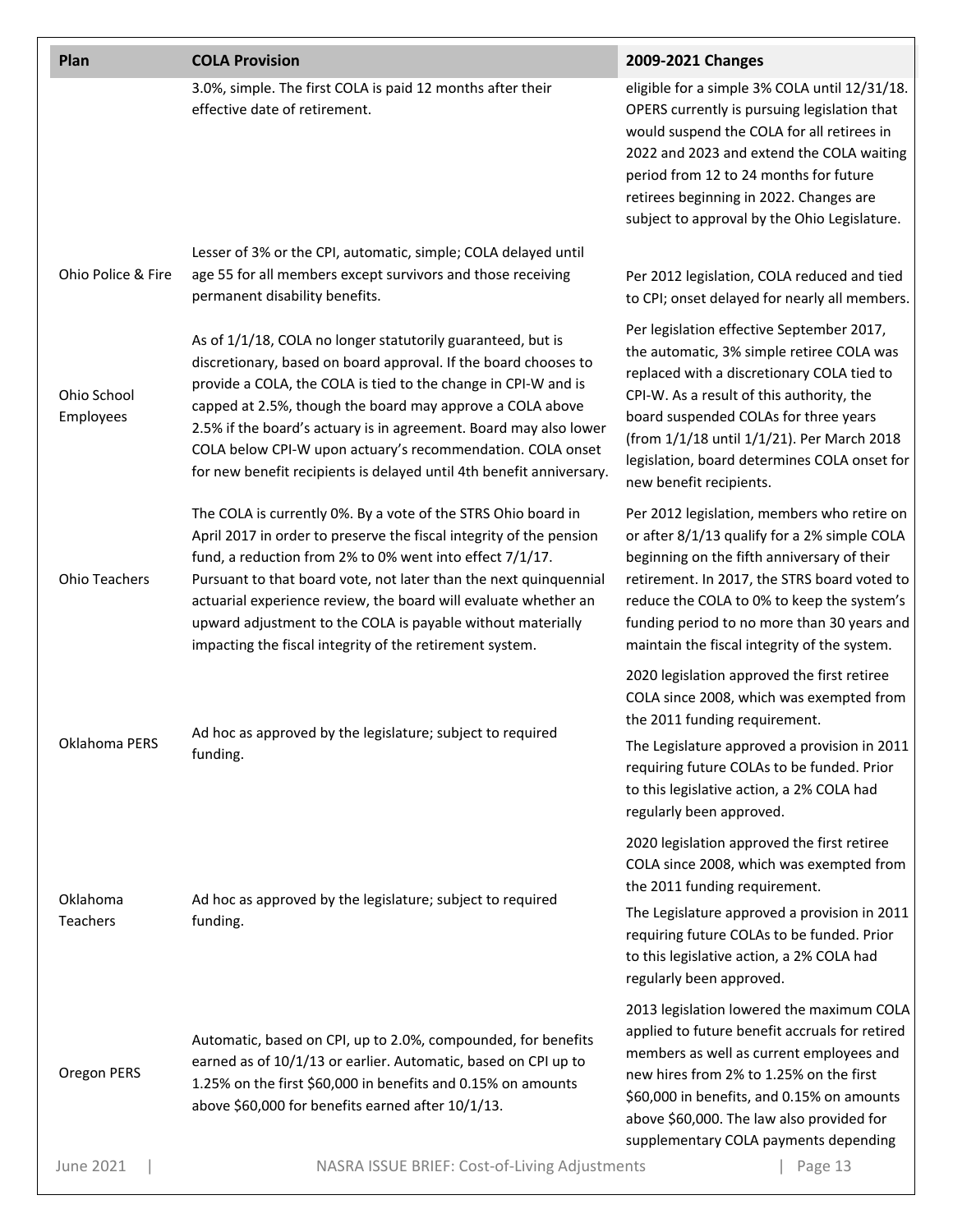| Plan                     | <b>COLA Provision</b>                                                                                                                                                                                                                                                                                                                                                                                                                                                    | 2009-2021 Changes                                                                                                                                                                                                                                                                                                                                   |
|--------------------------|--------------------------------------------------------------------------------------------------------------------------------------------------------------------------------------------------------------------------------------------------------------------------------------------------------------------------------------------------------------------------------------------------------------------------------------------------------------------------|-----------------------------------------------------------------------------------------------------------------------------------------------------------------------------------------------------------------------------------------------------------------------------------------------------------------------------------------------------|
|                          | 3.0%, simple. The first COLA is paid 12 months after their<br>effective date of retirement.                                                                                                                                                                                                                                                                                                                                                                              | eligible for a simple 3% COLA until 12/31/18.<br>OPERS currently is pursuing legislation that<br>would suspend the COLA for all retirees in<br>2022 and 2023 and extend the COLA waiting<br>period from 12 to 24 months for future<br>retirees beginning in 2022. Changes are<br>subject to approval by the Ohio Legislature.                       |
| Ohio Police & Fire       | Lesser of 3% or the CPI, automatic, simple; COLA delayed until<br>age 55 for all members except survivors and those receiving<br>permanent disability benefits.                                                                                                                                                                                                                                                                                                          | Per 2012 legislation, COLA reduced and tied<br>to CPI; onset delayed for nearly all members.                                                                                                                                                                                                                                                        |
| Ohio School<br>Employees | As of 1/1/18, COLA no longer statutorily guaranteed, but is<br>discretionary, based on board approval. If the board chooses to<br>provide a COLA, the COLA is tied to the change in CPI-W and is<br>capped at 2.5%, though the board may approve a COLA above<br>2.5% if the board's actuary is in agreement. Board may also lower<br>COLA below CPI-W upon actuary's recommendation. COLA onset<br>for new benefit recipients is delayed until 4th benefit anniversary. | Per legislation effective September 2017,<br>the automatic, 3% simple retiree COLA was<br>replaced with a discretionary COLA tied to<br>CPI-W. As a result of this authority, the<br>board suspended COLAs for three years<br>(from 1/1/18 until 1/1/21). Per March 2018<br>legislation, board determines COLA onset for<br>new benefit recipients. |
| <b>Ohio Teachers</b>     | The COLA is currently 0%. By a vote of the STRS Ohio board in<br>April 2017 in order to preserve the fiscal integrity of the pension<br>fund, a reduction from 2% to 0% went into effect 7/1/17.<br>Pursuant to that board vote, not later than the next quinquennial<br>actuarial experience review, the board will evaluate whether an<br>upward adjustment to the COLA is payable without materially<br>impacting the fiscal integrity of the retirement system.      | Per 2012 legislation, members who retire on<br>or after 8/1/13 qualify for a 2% simple COLA<br>beginning on the fifth anniversary of their<br>retirement. In 2017, the STRS board voted to<br>reduce the COLA to 0% to keep the system's<br>funding period to no more than 30 years and<br>maintain the fiscal integrity of the system.             |
| Oklahoma PERS            | Ad hoc as approved by the legislature; subject to required<br>funding.                                                                                                                                                                                                                                                                                                                                                                                                   | 2020 legislation approved the first retiree<br>COLA since 2008, which was exempted from<br>the 2011 funding requirement.<br>The Legislature approved a provision in 2011<br>requiring future COLAs to be funded. Prior<br>to this legislative action, a 2% COLA had<br>regularly been approved.                                                     |
| Oklahoma<br>Teachers     | Ad hoc as approved by the legislature; subject to required<br>funding.                                                                                                                                                                                                                                                                                                                                                                                                   | 2020 legislation approved the first retiree<br>COLA since 2008, which was exempted from<br>the 2011 funding requirement.<br>The Legislature approved a provision in 2011<br>requiring future COLAs to be funded. Prior<br>to this legislative action, a 2% COLA had<br>regularly been approved.                                                     |
| Oregon PERS              | Automatic, based on CPI, up to 2.0%, compounded, for benefits<br>earned as of 10/1/13 or earlier. Automatic, based on CPI up to<br>1.25% on the first \$60,000 in benefits and 0.15% on amounts<br>above \$60,000 for benefits earned after 10/1/13.                                                                                                                                                                                                                     | 2013 legislation lowered the maximum COLA<br>applied to future benefit accruals for retired<br>members as well as current employees and<br>new hires from 2% to 1.25% on the first<br>\$60,000 in benefits, and 0.15% on amounts<br>above \$60,000. The law also provided for<br>supplementary COLA payments depending                              |
| June 2021                | NASRA ISSUE BRIEF: Cost-of-Living Adjustments                                                                                                                                                                                                                                                                                                                                                                                                                            | Page 13                                                                                                                                                                                                                                                                                                                                             |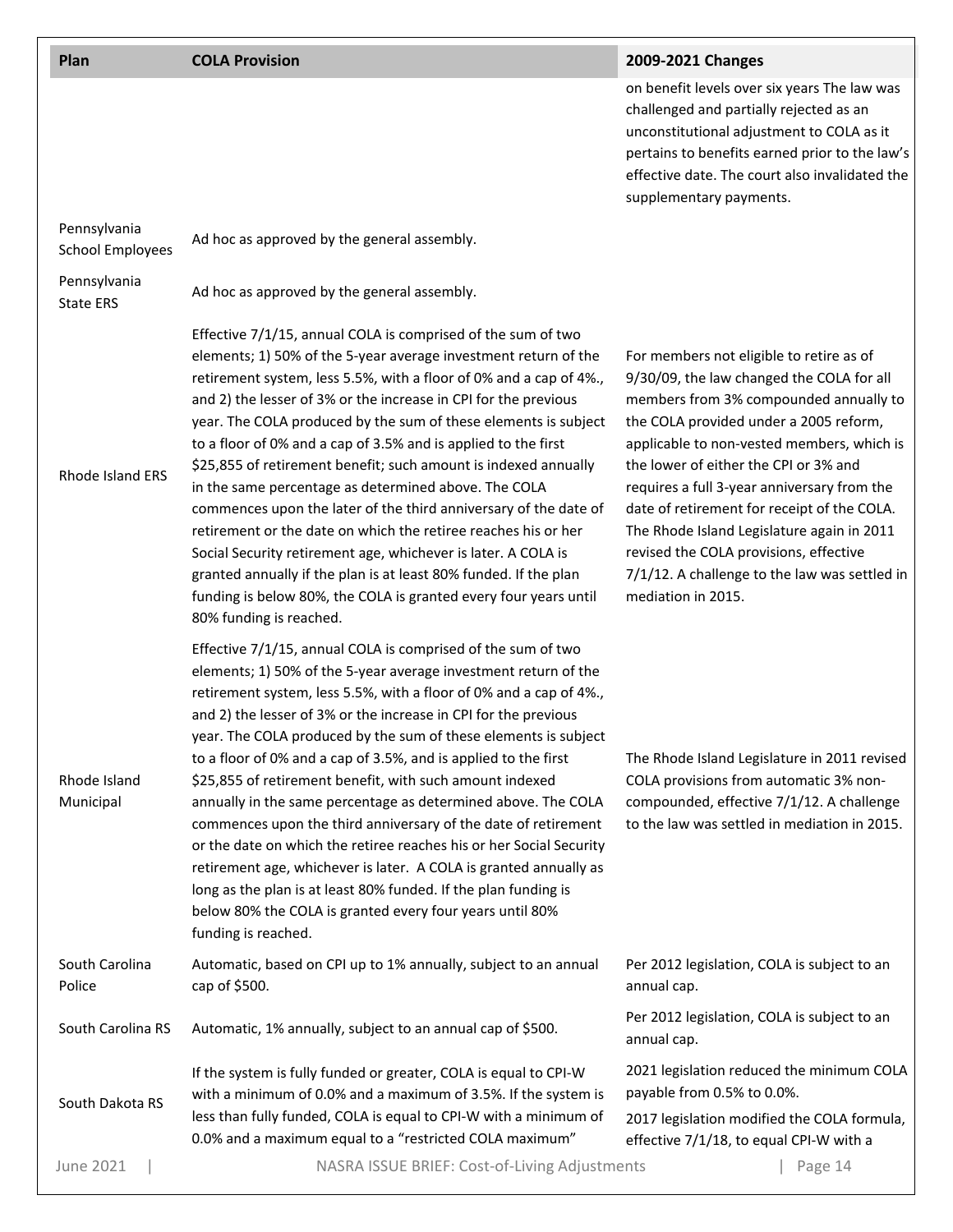#### **Plan COLA Provision 2009-2021 Changes**

on benefit levels over six years The law was challenged and partially rejected as an unconstitutional adjustment to COLA as it pertains to benefits earned prior to the law's effective date. The court also invalidated the supplementary payments.

| Pennsylvania<br><b>School Employees</b> | Ad hoc as approved by the general assembly.                                                                                                                                                                                                                                                                                                                                                                                                                                                                                                                                                                                                                                                                                                                                                                                                                                                                        |                                                                                                                                                                                                                                                                                                                                                                                                                                                                                                                               |
|-----------------------------------------|--------------------------------------------------------------------------------------------------------------------------------------------------------------------------------------------------------------------------------------------------------------------------------------------------------------------------------------------------------------------------------------------------------------------------------------------------------------------------------------------------------------------------------------------------------------------------------------------------------------------------------------------------------------------------------------------------------------------------------------------------------------------------------------------------------------------------------------------------------------------------------------------------------------------|-------------------------------------------------------------------------------------------------------------------------------------------------------------------------------------------------------------------------------------------------------------------------------------------------------------------------------------------------------------------------------------------------------------------------------------------------------------------------------------------------------------------------------|
| Pennsylvania<br><b>State ERS</b>        | Ad hoc as approved by the general assembly.                                                                                                                                                                                                                                                                                                                                                                                                                                                                                                                                                                                                                                                                                                                                                                                                                                                                        |                                                                                                                                                                                                                                                                                                                                                                                                                                                                                                                               |
| Rhode Island ERS                        | Effective 7/1/15, annual COLA is comprised of the sum of two<br>elements; 1) 50% of the 5-year average investment return of the<br>retirement system, less 5.5%, with a floor of 0% and a cap of 4%.,<br>and 2) the lesser of 3% or the increase in CPI for the previous<br>year. The COLA produced by the sum of these elements is subject<br>to a floor of 0% and a cap of 3.5% and is applied to the first<br>\$25,855 of retirement benefit; such amount is indexed annually<br>in the same percentage as determined above. The COLA<br>commences upon the later of the third anniversary of the date of<br>retirement or the date on which the retiree reaches his or her<br>Social Security retirement age, whichever is later. A COLA is<br>granted annually if the plan is at least 80% funded. If the plan<br>funding is below 80%, the COLA is granted every four years until<br>80% funding is reached. | For members not eligible to retire as of<br>9/30/09, the law changed the COLA for all<br>members from 3% compounded annually to<br>the COLA provided under a 2005 reform,<br>applicable to non-vested members, which is<br>the lower of either the CPI or 3% and<br>requires a full 3-year anniversary from the<br>date of retirement for receipt of the COLA.<br>The Rhode Island Legislature again in 2011<br>revised the COLA provisions, effective<br>7/1/12. A challenge to the law was settled in<br>mediation in 2015. |
| Rhode Island<br>Municipal               | Effective 7/1/15, annual COLA is comprised of the sum of two<br>elements; 1) 50% of the 5-year average investment return of the<br>retirement system, less 5.5%, with a floor of 0% and a cap of 4%.,<br>and 2) the lesser of 3% or the increase in CPI for the previous<br>year. The COLA produced by the sum of these elements is subject<br>to a floor of 0% and a cap of 3.5%, and is applied to the first<br>\$25,855 of retirement benefit, with such amount indexed<br>annually in the same percentage as determined above. The COLA<br>commences upon the third anniversary of the date of retirement<br>or the date on which the retiree reaches his or her Social Security<br>retirement age, whichever is later. A COLA is granted annually as<br>long as the plan is at least 80% funded. If the plan funding is<br>below 80% the COLA is granted every four years until 80%<br>funding is reached.    | The Rhode Island Legislature in 2011 revised<br>COLA provisions from automatic 3% non-<br>compounded, effective 7/1/12. A challenge<br>to the law was settled in mediation in 2015.                                                                                                                                                                                                                                                                                                                                           |
| South Carolina<br>Police                | Automatic, based on CPI up to 1% annually, subject to an annual<br>cap of \$500.                                                                                                                                                                                                                                                                                                                                                                                                                                                                                                                                                                                                                                                                                                                                                                                                                                   | Per 2012 legislation, COLA is subject to an<br>annual cap.                                                                                                                                                                                                                                                                                                                                                                                                                                                                    |
| South Carolina RS                       | Automatic, 1% annually, subject to an annual cap of \$500.                                                                                                                                                                                                                                                                                                                                                                                                                                                                                                                                                                                                                                                                                                                                                                                                                                                         | Per 2012 legislation, COLA is subject to an<br>annual cap.                                                                                                                                                                                                                                                                                                                                                                                                                                                                    |
| South Dakota RS                         | If the system is fully funded or greater, COLA is equal to CPI-W<br>with a minimum of 0.0% and a maximum of 3.5%. If the system is<br>less than fully funded, COLA is equal to CPI-W with a minimum of<br>0.0% and a maximum equal to a "restricted COLA maximum"                                                                                                                                                                                                                                                                                                                                                                                                                                                                                                                                                                                                                                                  | 2021 legislation reduced the minimum COLA<br>payable from 0.5% to 0.0%.<br>2017 legislation modified the COLA formula,<br>effective 7/1/18, to equal CPI-W with a                                                                                                                                                                                                                                                                                                                                                             |
| <b>June 2021</b>                        | NASRA ISSUE BRIEF: Cost-of-Living Adjustments                                                                                                                                                                                                                                                                                                                                                                                                                                                                                                                                                                                                                                                                                                                                                                                                                                                                      | Page 14                                                                                                                                                                                                                                                                                                                                                                                                                                                                                                                       |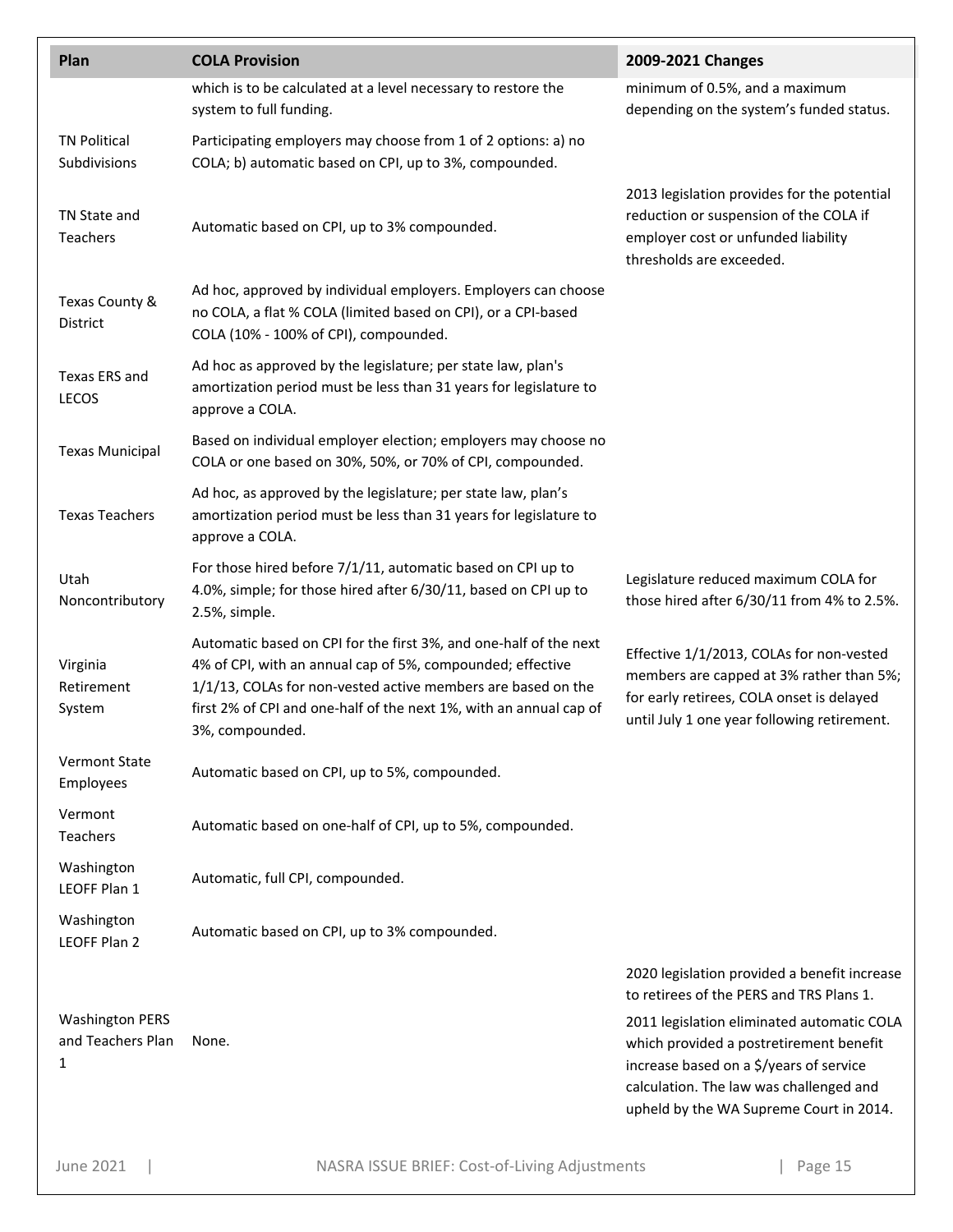| Plan                                             | <b>COLA Provision</b>                                                                                                                                                                                                                                                                    | 2009-2021 Changes                                                                                                                                                                                                                                                                                                  |
|--------------------------------------------------|------------------------------------------------------------------------------------------------------------------------------------------------------------------------------------------------------------------------------------------------------------------------------------------|--------------------------------------------------------------------------------------------------------------------------------------------------------------------------------------------------------------------------------------------------------------------------------------------------------------------|
|                                                  | which is to be calculated at a level necessary to restore the<br>system to full funding.                                                                                                                                                                                                 | minimum of 0.5%, and a maximum<br>depending on the system's funded status.                                                                                                                                                                                                                                         |
| <b>TN Political</b><br>Subdivisions              | Participating employers may choose from 1 of 2 options: a) no<br>COLA; b) automatic based on CPI, up to 3%, compounded.                                                                                                                                                                  |                                                                                                                                                                                                                                                                                                                    |
| TN State and<br>Teachers                         | Automatic based on CPI, up to 3% compounded.                                                                                                                                                                                                                                             | 2013 legislation provides for the potential<br>reduction or suspension of the COLA if<br>employer cost or unfunded liability<br>thresholds are exceeded.                                                                                                                                                           |
| Texas County &<br>District                       | Ad hoc, approved by individual employers. Employers can choose<br>no COLA, a flat % COLA (limited based on CPI), or a CPI-based<br>COLA (10% - 100% of CPI), compounded.                                                                                                                 |                                                                                                                                                                                                                                                                                                                    |
| Texas ERS and<br><b>LECOS</b>                    | Ad hoc as approved by the legislature; per state law, plan's<br>amortization period must be less than 31 years for legislature to<br>approve a COLA.                                                                                                                                     |                                                                                                                                                                                                                                                                                                                    |
| <b>Texas Municipal</b>                           | Based on individual employer election; employers may choose no<br>COLA or one based on 30%, 50%, or 70% of CPI, compounded.                                                                                                                                                              |                                                                                                                                                                                                                                                                                                                    |
| <b>Texas Teachers</b>                            | Ad hoc, as approved by the legislature; per state law, plan's<br>amortization period must be less than 31 years for legislature to<br>approve a COLA.                                                                                                                                    |                                                                                                                                                                                                                                                                                                                    |
| Utah<br>Noncontributory                          | For those hired before 7/1/11, automatic based on CPI up to<br>4.0%, simple; for those hired after 6/30/11, based on CPI up to<br>2.5%, simple.                                                                                                                                          | Legislature reduced maximum COLA for<br>those hired after 6/30/11 from 4% to 2.5%.                                                                                                                                                                                                                                 |
| Virginia<br>Retirement<br>System                 | Automatic based on CPI for the first 3%, and one-half of the next<br>4% of CPI, with an annual cap of 5%, compounded; effective<br>1/1/13, COLAs for non-vested active members are based on the<br>first 2% of CPI and one-half of the next 1%, with an annual cap of<br>3%, compounded. | Effective 1/1/2013, COLAs for non-vested<br>members are capped at 3% rather than 5%;<br>for early retirees, COLA onset is delayed<br>until July 1 one year following retirement.                                                                                                                                   |
| <b>Vermont State</b><br>Employees                | Automatic based on CPI, up to 5%, compounded.                                                                                                                                                                                                                                            |                                                                                                                                                                                                                                                                                                                    |
| Vermont<br>Teachers                              | Automatic based on one-half of CPI, up to 5%, compounded.                                                                                                                                                                                                                                |                                                                                                                                                                                                                                                                                                                    |
| Washington<br>LEOFF Plan 1                       | Automatic, full CPI, compounded.                                                                                                                                                                                                                                                         |                                                                                                                                                                                                                                                                                                                    |
| Washington<br>LEOFF Plan 2                       | Automatic based on CPI, up to 3% compounded.                                                                                                                                                                                                                                             |                                                                                                                                                                                                                                                                                                                    |
| <b>Washington PERS</b><br>and Teachers Plan<br>1 | None.                                                                                                                                                                                                                                                                                    | 2020 legislation provided a benefit increase<br>to retirees of the PERS and TRS Plans 1.<br>2011 legislation eliminated automatic COLA<br>which provided a postretirement benefit<br>increase based on a \$/years of service<br>calculation. The law was challenged and<br>upheld by the WA Supreme Court in 2014. |

June 2021 | NASRA ISSUE BRIEF: Cost-of-Living Adjustments | Page 15